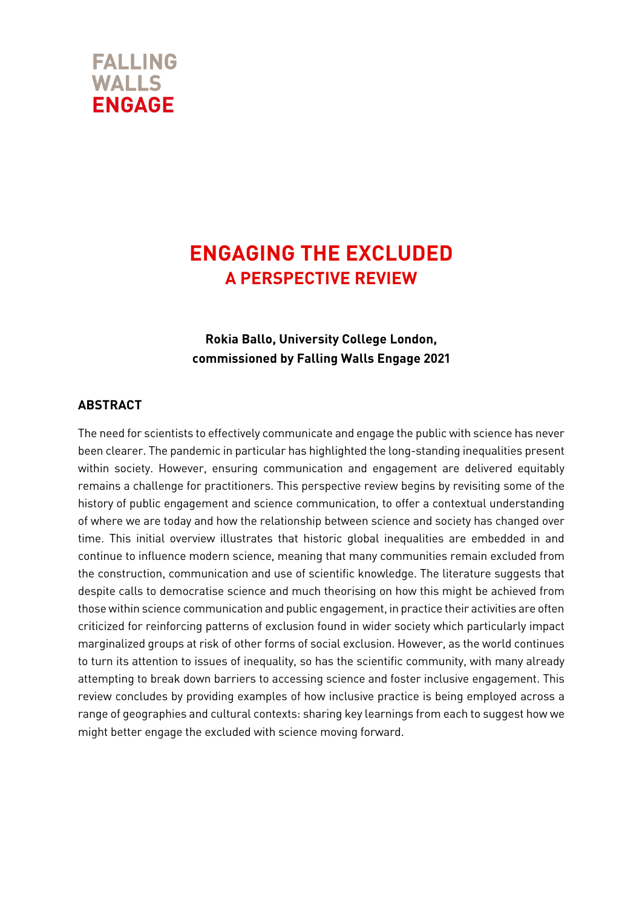

# **ENGAGING THE EXCLUDED A PERSPECTIVE REVIEW**

# **Rokia Ballo, University College London, commissioned by Falling Walls Engage 2021**

# **ABSTRACT**

The need for scientists to effectively communicate and engage the public with science has never been clearer. The pandemic in particular has highlighted the long-standing inequalities present within society. However, ensuring communication and engagement are delivered equitably remains a challenge for practitioners. This perspective review begins by revisiting some of the history of public engagement and science communication, to offer a contextual understanding of where we are today and how the relationship between science and society has changed over time. This initial overview illustrates that historic global inequalities are embedded in and continue to influence modern science, meaning that many communities remain excluded from the construction, communication and use of scientific knowledge. The literature suggests that despite calls to democratise science and much theorising on how this might be achieved from those within science communication and public engagement, in practice their activities are often criticized for reinforcing patterns of exclusion found in wider society which particularly impact marginalized groups at risk of other forms of social exclusion. However, as the world continues to turn its attention to issues of inequality, so has the scientific community, with many already attempting to break down barriers to accessing science and foster inclusive engagement. This review concludes by providing examples of how inclusive practice is being employed across a range of geographies and cultural contexts: sharing key learnings from each to suggest how we might better engage the excluded with science moving forward.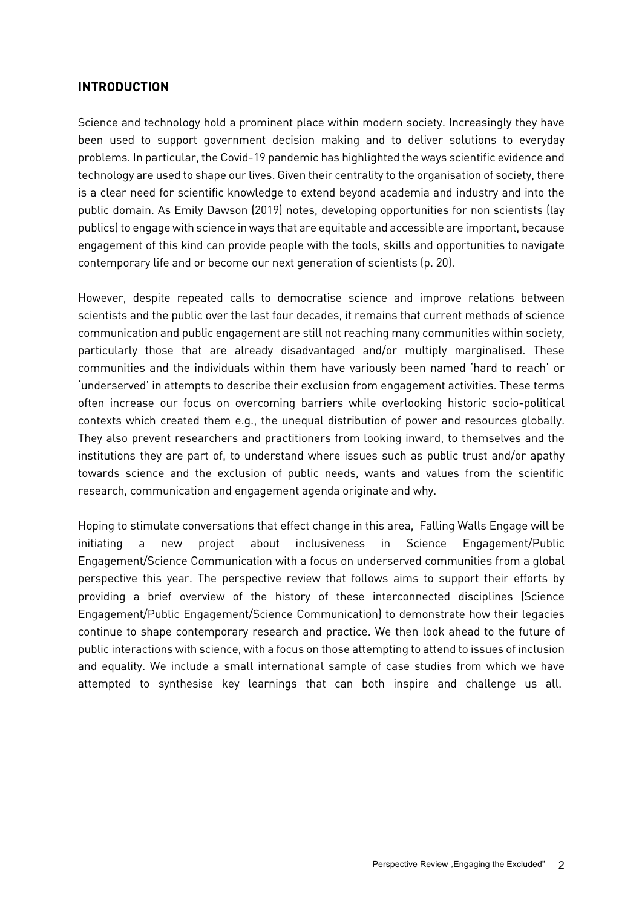## **INTRODUCTION**

Science and technology hold a prominent place within modern society. Increasingly they have been used to support government decision making and to deliver solutions to everyday problems. In particular, the Covid-19 pandemic has highlighted the ways scientific evidence and technology are used to shape our lives. Given their centrality to the organisation of society, there is a clear need for scientific knowledge to extend beyond academia and industry and into the public domain. As Emily Dawson (2019) notes, developing opportunities for non scientists (lay publics) to engage with science in ways that are equitable and accessible are important, because engagement of this kind can provide people with the tools, skills and opportunities to navigate contemporary life and or become our next generation of scientists (p. 20).

However, despite repeated calls to democratise science and improve relations between scientists and the public over the last four decades, it remains that current methods of science communication and public engagement are still not reaching many communities within society, particularly those that are already disadvantaged and/or multiply marginalised. These communities and the individuals within them have variously been named 'hard to reach' or 'underserved' in attempts to describe their exclusion from engagement activities. These terms often increase our focus on overcoming barriers while overlooking historic socio-political contexts which created them e.g., the unequal distribution of power and resources globally. They also prevent researchers and practitioners from looking inward, to themselves and the institutions they are part of, to understand where issues such as public trust and/or apathy towards science and the exclusion of public needs, wants and values from the scientific research, communication and engagement agenda originate and why.

Hoping to stimulate conversations that effect change in this area, Falling Walls Engage will be initiating a new project about inclusiveness in Science Engagement/Public Engagement/Science Communication with a focus on underserved communities from a global perspective this year. The perspective review that follows aims to support their efforts by providing a brief overview of the history of these interconnected disciplines (Science Engagement/Public Engagement/Science Communication) to demonstrate how their legacies continue to shape contemporary research and practice. We then look ahead to the future of public interactions with science, with a focus on those attempting to attend to issues of inclusion and equality. We include a small international sample of case studies from which we have attempted to synthesise key learnings that can both inspire and challenge us all.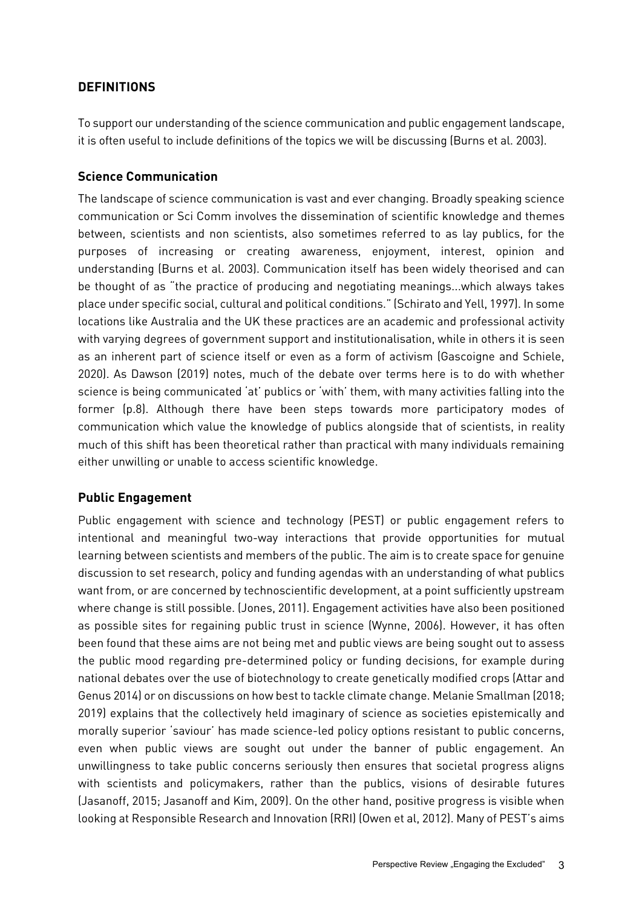# **DEFINITIONS**

To support our understanding of the science communication and public engagement landscape, it is often useful to include definitions of the topics we will be discussing (Burns et al. 2003).

## **Science Communication**

The landscape of science communication is vast and ever changing. Broadly speaking science communication or Sci Comm involves the dissemination of scientific knowledge and themes between, scientists and non scientists, also sometimes referred to as lay publics, for the purposes of increasing or creating awareness, enjoyment, interest, opinion and understanding (Burns et al. 2003). Communication itself has been widely theorised and can be thought of as "the practice of producing and negotiating meanings...which always takes place under specific social, cultural and political conditions." (Schirato and Yell, 1997). In some locations like Australia and the UK these practices are an academic and professional activity with varying degrees of government support and institutionalisation, while in others it is seen as an inherent part of science itself or even as a form of activism (Gascoigne and Schiele, 2020). As Dawson (2019) notes, much of the debate over terms here is to do with whether science is being communicated 'at' publics or 'with' them, with many activities falling into the former (p.8). Although there have been steps towards more participatory modes of communication which value the knowledge of publics alongside that of scientists, in reality much of this shift has been theoretical rather than practical with many individuals remaining either unwilling or unable to access scientific knowledge.

## **Public Engagement**

Public engagement with science and technology (PEST) or public engagement refers to intentional and meaningful two-way interactions that provide opportunities for mutual learning between scientists and members of the public. The aim is to create space for genuine discussion to set research, policy and funding agendas with an understanding of what publics want from, or are concerned by technoscientific development, at a point sufficiently upstream where change is still possible. (Jones, 2011). Engagement activities have also been positioned as possible sites for regaining public trust in science (Wynne, 2006). However, it has often been found that these aims are not being met and public views are being sought out to assess the public mood regarding pre-determined policy or funding decisions, for example during national debates over the use of biotechnology to create genetically modified crops (Attar and Genus 2014) or on discussions on how best to tackle climate change. Melanie Smallman (2018; 2019) explains that the collectively held imaginary of science as societies epistemically and morally superior 'saviour' has made science-led policy options resistant to public concerns, even when public views are sought out under the banner of public engagement. An unwillingness to take public concerns seriously then ensures that societal progress aligns with scientists and policymakers, rather than the publics, visions of desirable futures (Jasanoff, 2015; Jasanoff and Kim, 2009). On the other hand, positive progress is visible when looking at Responsible Research and Innovation (RRI) (Owen et al, 2012). Many of PEST's aims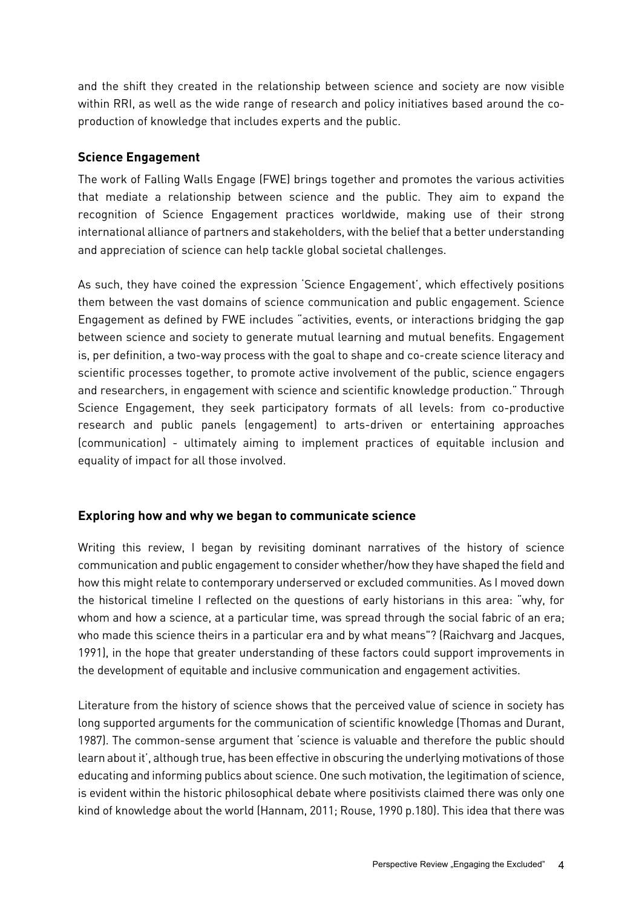and the shift they created in the relationship between science and society are now visible within RRI, as well as the wide range of research and policy initiatives based around the coproduction of knowledge that includes experts and the public.

# **Science Engagement**

The work of Falling Walls Engage (FWE) brings together and promotes the various activities that mediate a relationship between science and the public. They aim to expand the recognition of Science Engagement practices worldwide, making use of their strong international alliance of partners and stakeholders, with the belief that a better understanding and appreciation of science can help tackle global societal challenges.

As such, they have coined the expression 'Science Engagement', which effectively positions them between the vast domains of science communication and public engagement. Science Engagement as defined by FWE includes "activities, events, or interactions bridging the gap between science and society to generate mutual learning and mutual benefits. Engagement is, per definition, a two-way process with the goal to shape and co-create science literacy and scientific processes together, to promote active involvement of the public, science engagers and researchers, in engagement with science and scientific knowledge production." Through Science Engagement, they seek participatory formats of all levels: from co-productive research and public panels (engagement) to arts-driven or entertaining approaches (communication) - ultimately aiming to implement practices of equitable inclusion and equality of impact for all those involved.

# **Exploring how and why we began to communicate science**

Writing this review, I began by revisiting dominant narratives of the history of science communication and public engagement to consider whether/how they have shaped the field and how this might relate to contemporary underserved or excluded communities. As I moved down the historical timeline I reflected on the questions of early historians in this area: "why, for whom and how a science, at a particular time, was spread through the social fabric of an era; who made this science theirs in a particular era and by what means"? (Raichvarg and Jacques, 1991), in the hope that greater understanding of these factors could support improvements in the development of equitable and inclusive communication and engagement activities.

Literature from the history of science shows that the perceived value of science in society has long supported arguments for the communication of scientific knowledge (Thomas and Durant, 1987). The common-sense argument that 'science is valuable and therefore the public should learn about it', although true, has been effective in obscuring the underlying motivations of those educating and informing publics about science. One such motivation, the legitimation of science, is evident within the historic philosophical debate where positivists claimed there was only one kind of knowledge about the world (Hannam, 2011; Rouse, 1990 p.180). This idea that there was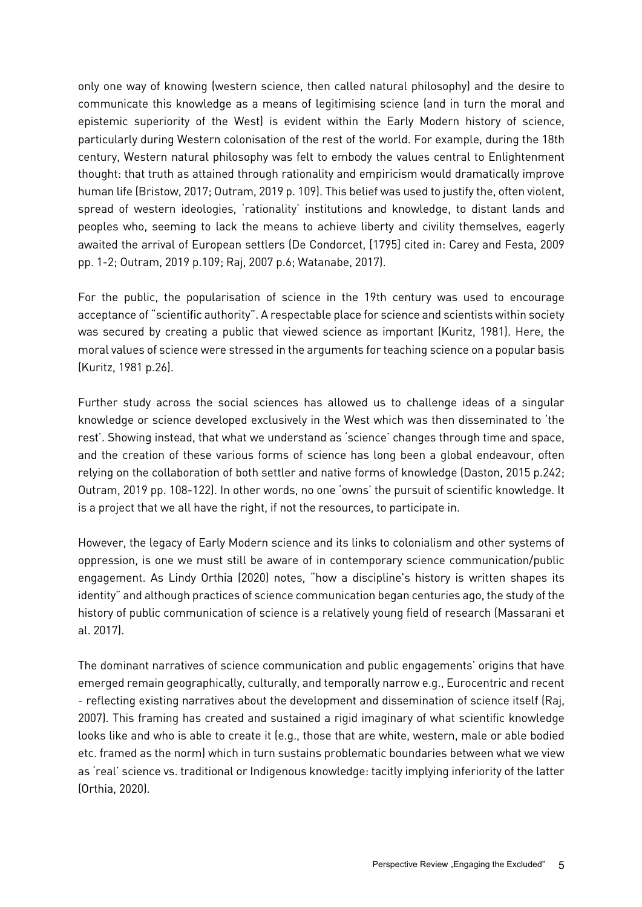only one way of knowing (western science, then called natural philosophy) and the desire to communicate this knowledge as a means of legitimising science (and in turn the moral and epistemic superiority of the West) is evident within the Early Modern history of science, particularly during Western colonisation of the rest of the world. For example, during the 18th century, Western natural philosophy was felt to embody the values central to Enlightenment thought: that truth as attained through rationality and empiricism would dramatically improve human life (Bristow, 2017; Outram, 2019 p. 109). This belief was used to justify the, often violent, spread of western ideologies, 'rationality' institutions and knowledge, to distant lands and peoples who, seeming to lack the means to achieve liberty and civility themselves, eagerly awaited the arrival of European settlers (De Condorcet, [1795] cited in: Carey and Festa, 2009 pp. 1-2; Outram, 2019 p.109; Raj, 2007 p.6; Watanabe, 2017).

For the public, the popularisation of science in the 19th century was used to encourage acceptance of "scientific authority". A respectable place for science and scientists within society was secured by creating a public that viewed science as important (Kuritz, 1981). Here, the moral values of science were stressed in the arguments for teaching science on a popular basis (Kuritz, 1981 p.26).

Further study across the social sciences has allowed us to challenge ideas of a singular knowledge or science developed exclusively in the West which was then disseminated to 'the rest'. Showing instead, that what we understand as 'science' changes through time and space, and the creation of these various forms of science has long been a global endeavour, often relying on the collaboration of both settler and native forms of knowledge (Daston, 2015 p.242; Outram, 2019 pp. 108-122). In other words, no one 'owns' the pursuit of scientific knowledge. It is a project that we all have the right, if not the resources, to participate in.

However, the legacy of Early Modern science and its links to colonialism and other systems of oppression, is one we must still be aware of in contemporary science communication/public engagement. As Lindy Orthia (2020) notes, "how a discipline's history is written shapes its identity" and although practices of science communication began centuries ago, the study of the history of public communication of science is a relatively young field of research (Massarani et al. 2017).

The dominant narratives of science communication and public engagements' origins that have emerged remain geographically, culturally, and temporally narrow e.g., Eurocentric and recent - reflecting existing narratives about the development and dissemination of science itself (Raj, 2007). This framing has created and sustained a rigid imaginary of what scientific knowledge looks like and who is able to create it (e.g., those that are white, western, male or able bodied etc. framed as the norm) which in turn sustains problematic boundaries between what we view as 'real' science vs. traditional or Indigenous knowledge: tacitly implying inferiority of the latter (Orthia, 2020).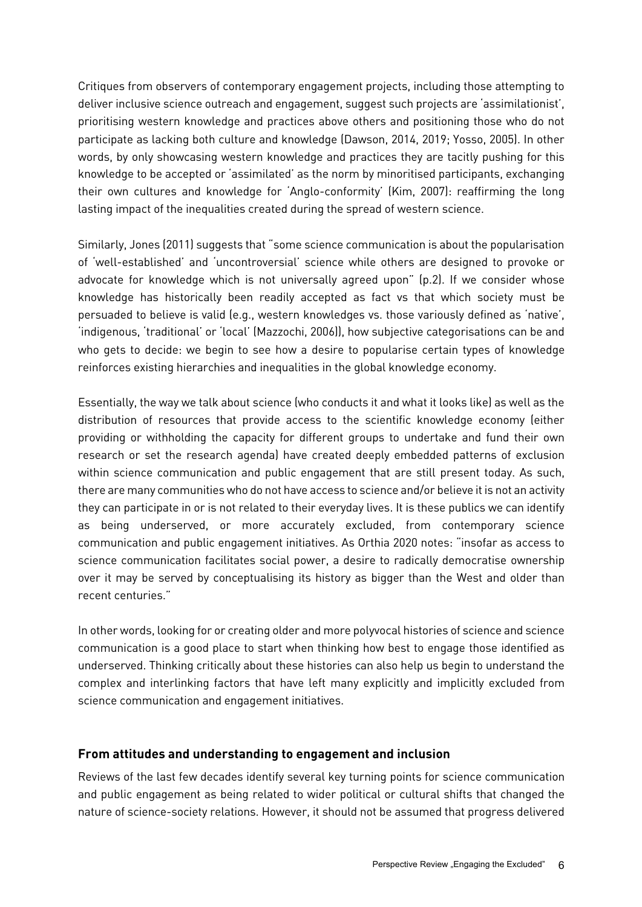Critiques from observers of contemporary engagement projects, including those attempting to deliver inclusive science outreach and engagement, suggest such projects are 'assimilationist', prioritising western knowledge and practices above others and positioning those who do not participate as lacking both culture and knowledge (Dawson, 2014, 2019; Yosso, 2005). In other words, by only showcasing western knowledge and practices they are tacitly pushing for this knowledge to be accepted or 'assimilated' as the norm by minoritised participants, exchanging their own cultures and knowledge for 'Anglo-conformity' (Kim, 2007): reaffirming the long lasting impact of the inequalities created during the spread of western science.

Similarly, Jones (2011) suggests that "some science communication is about the popularisation of 'well-established' and 'uncontroversial' science while others are designed to provoke or advocate for knowledge which is not universally agreed upon" (p.2). If we consider whose knowledge has historically been readily accepted as fact vs that which society must be persuaded to believe is valid (e.g., western knowledges vs. those variously defined as 'native', 'indigenous, 'traditional' or 'local' (Mazzochi, 2006)), how subjective categorisations can be and who gets to decide: we begin to see how a desire to popularise certain types of knowledge reinforces existing hierarchies and inequalities in the global knowledge economy.

Essentially, the way we talk about science (who conducts it and what it looks like) as well as the distribution of resources that provide access to the scientific knowledge economy (either providing or withholding the capacity for different groups to undertake and fund their own research or set the research agenda) have created deeply embedded patterns of exclusion within science communication and public engagement that are still present today. As such, there are many communities who do not have access to science and/or believe it is not an activity they can participate in or is not related to their everyday lives. It is these publics we can identify as being underserved, or more accurately excluded, from contemporary science communication and public engagement initiatives. As Orthia 2020 notes: "insofar as access to science communication facilitates social power, a desire to radically democratise ownership over it may be served by conceptualising its history as bigger than the West and older than recent centuries."

In other words, looking for or creating older and more polyvocal histories of science and science communication is a good place to start when thinking how best to engage those identified as underserved. Thinking critically about these histories can also help us begin to understand the complex and interlinking factors that have left many explicitly and implicitly excluded from science communication and engagement initiatives.

## **From attitudes and understanding to engagement and inclusion**

Reviews of the last few decades identify several key turning points for science communication and public engagement as being related to wider political or cultural shifts that changed the nature of science-society relations. However, it should not be assumed that progress delivered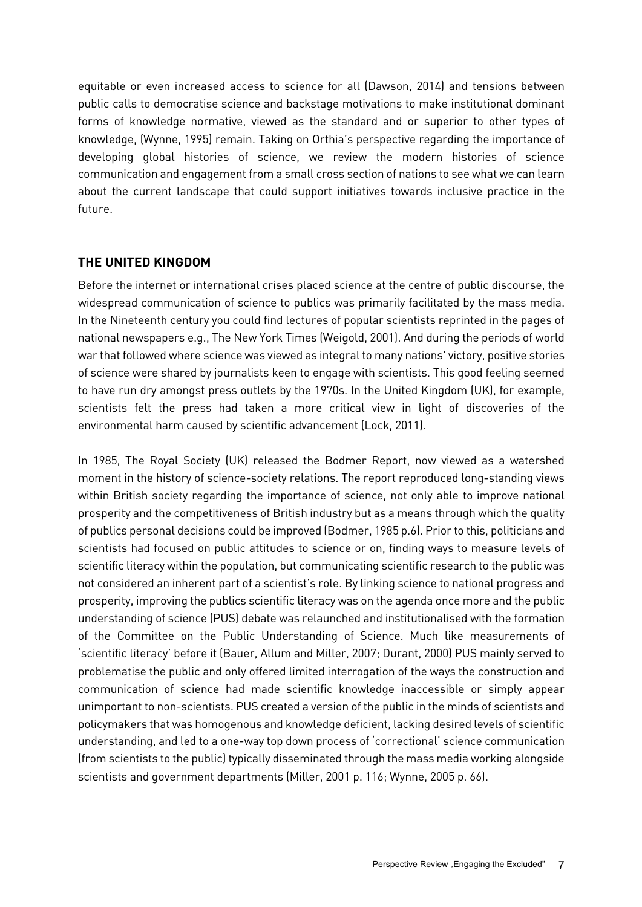equitable or even increased access to science for all (Dawson, 2014) and tensions between public calls to democratise science and backstage motivations to make institutional dominant forms of knowledge normative, viewed as the standard and or superior to other types of knowledge, (Wynne, 1995) remain. Taking on Orthia's perspective regarding the importance of developing global histories of science, we review the modern histories of science communication and engagement from a small cross section of nations to see what we can learn about the current landscape that could support initiatives towards inclusive practice in the future.

# **THE UNITED KINGDOM**

Before the internet or international crises placed science at the centre of public discourse, the widespread communication of science to publics was primarily facilitated by the mass media. In the Nineteenth century you could find lectures of popular scientists reprinted in the pages of national newspapers e.g., The New York Times (Weigold, 2001). And during the periods of world war that followed where science was viewed as integral to many nations' victory, positive stories of science were shared by journalists keen to engage with scientists. This good feeling seemed to have run dry amongst press outlets by the 1970s. In the United Kingdom (UK), for example, scientists felt the press had taken a more critical view in light of discoveries of the environmental harm caused by scientific advancement (Lock, 2011).

In 1985, The Royal Society (UK) released the Bodmer Report, now viewed as a watershed moment in the history of science-society relations. The report reproduced long-standing views within British society regarding the importance of science, not only able to improve national prosperity and the competitiveness of British industry but as a means through which the quality of publics personal decisions could be improved (Bodmer, 1985 p.6). Prior to this, politicians and scientists had focused on public attitudes to science or on, finding ways to measure levels of scientific literacy within the population, but communicating scientific research to the public was not considered an inherent part of a scientist's role. By linking science to national progress and prosperity, improving the publics scientific literacy was on the agenda once more and the public understanding of science (PUS) debate was relaunched and institutionalised with the formation of the Committee on the Public Understanding of Science. Much like measurements of 'scientific literacy' before it (Bauer, Allum and Miller, 2007; Durant, 2000) PUS mainly served to problematise the public and only offered limited interrogation of the ways the construction and communication of science had made scientific knowledge inaccessible or simply appear unimportant to non-scientists. PUS created a version of the public in the minds of scientists and policymakers that was homogenous and knowledge deficient, lacking desired levels of scientific understanding, and led to a one-way top down process of 'correctional' science communication (from scientists to the public) typically disseminated through the mass media working alongside scientists and government departments (Miller, 2001 p. 116; Wynne, 2005 p. 66).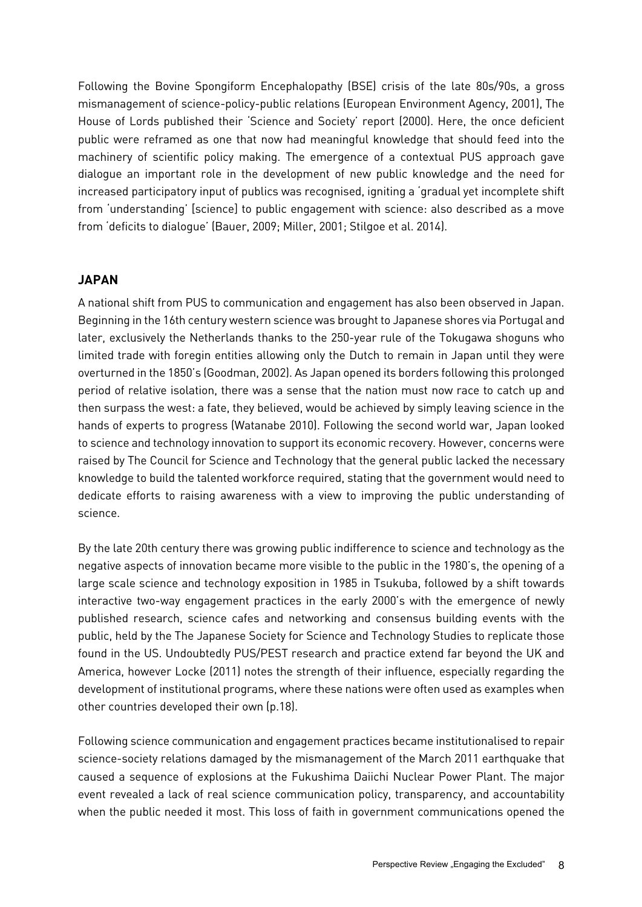Following the Bovine Spongiform Encephalopathy (BSE) crisis of the late 80s/90s, a gross mismanagement of science-policy-public relations (European Environment Agency, 2001), The House of Lords published their 'Science and Society' report (2000). Here, the once deficient public were reframed as one that now had meaningful knowledge that should feed into the machinery of scientific policy making. The emergence of a contextual PUS approach gave dialogue an important role in the development of new public knowledge and the need for increased participatory input of publics was recognised, igniting a 'gradual yet incomplete shift from 'understanding' [science] to public engagement with science: also described as a move from 'deficits to dialogue' (Bauer, 2009; Miller, 2001; Stilgoe et al. 2014).

## **JAPAN**

A national shift from PUS to communication and engagement has also been observed in Japan. Beginning in the 16th century western science was brought to Japanese shores via Portugal and later, exclusively the Netherlands thanks to the 250-year rule of the Tokugawa shoguns who limited trade with foregin entities allowing only the Dutch to remain in Japan until they were overturned in the 1850's (Goodman, 2002). As Japan opened its borders following this prolonged period of relative isolation, there was a sense that the nation must now race to catch up and then surpass the west: a fate, they believed, would be achieved by simply leaving science in the hands of experts to progress (Watanabe 2010). Following the second world war, Japan looked to science and technology innovation to support its economic recovery. However, concerns were raised by The Council for Science and Technology that the general public lacked the necessary knowledge to build the talented workforce required, stating that the government would need to dedicate efforts to raising awareness with a view to improving the public understanding of science.

By the late 20th century there was growing public indifference to science and technology as the negative aspects of innovation became more visible to the public in the 1980's, the opening of a large scale science and technology exposition in 1985 in Tsukuba, followed by a shift towards interactive two-way engagement practices in the early 2000's with the emergence of newly published research, science cafes and networking and consensus building events with the public, held by the The Japanese Society for Science and Technology Studies to replicate those found in the US. Undoubtedly PUS/PEST research and practice extend far beyond the UK and America, however Locke (2011) notes the strength of their influence, especially regarding the development of institutional programs, where these nations were often used as examples when other countries developed their own (p.18).

Following science communication and engagement practices became institutionalised to repair science-society relations damaged by the mismanagement of the March 2011 earthquake that caused a sequence of explosions at the Fukushima Daiichi Nuclear Power Plant. The major event revealed a lack of real science communication policy, transparency, and accountability when the public needed it most. This loss of faith in government communications opened the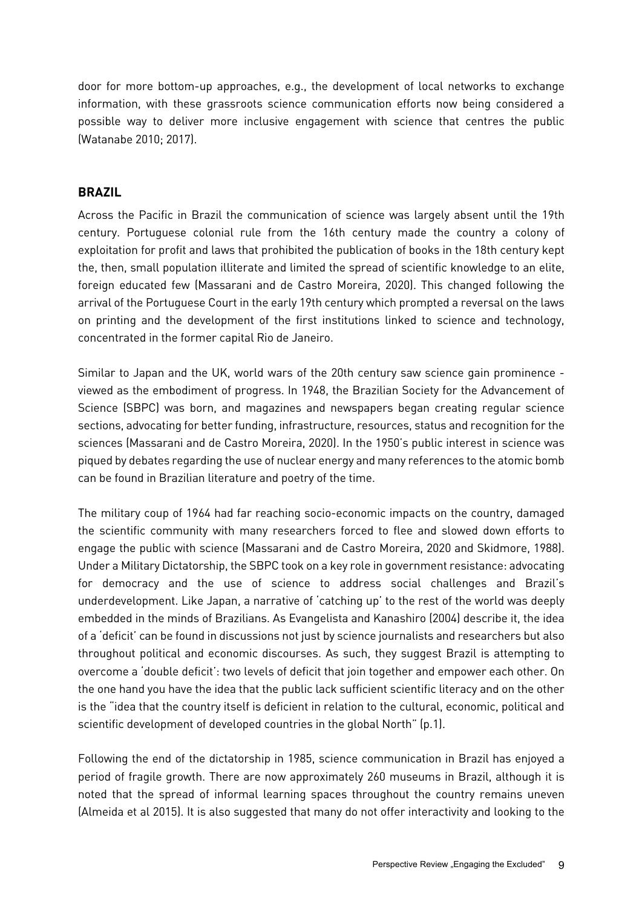door for more bottom-up approaches, e.g., the development of local networks to exchange information, with these grassroots science communication efforts now being considered a possible way to deliver more inclusive engagement with science that centres the public (Watanabe 2010; 2017).

# **BRAZIL**

Across the Pacific in Brazil the communication of science was largely absent until the 19th century. Portuguese colonial rule from the 16th century made the country a colony of exploitation for profit and laws that prohibited the publication of books in the 18th century kept the, then, small population illiterate and limited the spread of scientific knowledge to an elite, foreign educated few (Massarani and de Castro Moreira, 2020). This changed following the arrival of the Portuguese Court in the early 19th century which prompted a reversal on the laws on printing and the development of the first institutions linked to science and technology, concentrated in the former capital Rio de Janeiro.

Similar to Japan and the UK, world wars of the 20th century saw science gain prominence viewed as the embodiment of progress. In 1948, the Brazilian Society for the Advancement of Science (SBPC) was born, and magazines and newspapers began creating regular science sections, advocating for better funding, infrastructure, resources, status and recognition for the sciences (Massarani and de Castro Moreira, 2020). In the 1950's public interest in science was piqued by debates regarding the use of nuclear energy and many references to the atomic bomb can be found in Brazilian literature and poetry of the time.

The military coup of 1964 had far reaching socio-economic impacts on the country, damaged the scientific community with many researchers forced to flee and slowed down efforts to engage the public with science (Massarani and de Castro Moreira, 2020 and Skidmore, 1988). Under a Military Dictatorship, the SBPC took on a key role in government resistance: advocating for democracy and the use of science to address social challenges and Brazil's underdevelopment. Like Japan, a narrative of 'catching up' to the rest of the world was deeply embedded in the minds of Brazilians. As Evangelista and Kanashiro (2004) describe it, the idea of a 'deficit' can be found in discussions not just by science journalists and researchers but also throughout political and economic discourses. As such, they suggest Brazil is attempting to overcome a 'double deficit': two levels of deficit that join together and empower each other. On the one hand you have the idea that the public lack sufficient scientific literacy and on the other is the "idea that the country itself is deficient in relation to the cultural, economic, political and scientific development of developed countries in the global North" (p.1).

Following the end of the dictatorship in 1985, science communication in Brazil has enjoyed a period of fragile growth. There are now approximately 260 museums in Brazil, although it is noted that the spread of informal learning spaces throughout the country remains uneven (Almeida et al 2015). It is also suggested that many do not offer interactivity and looking to the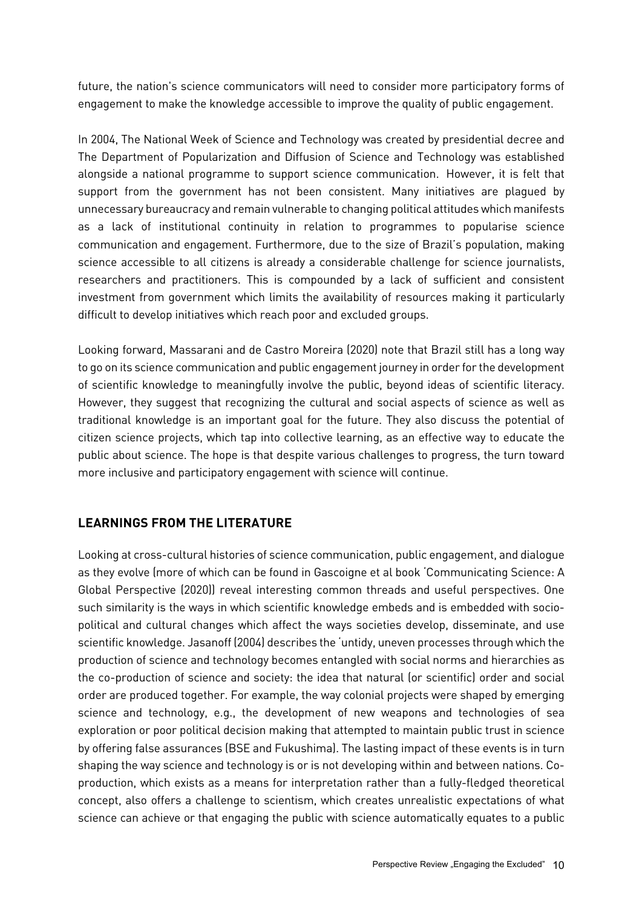future, the nation's science communicators will need to consider more participatory forms of engagement to make the knowledge accessible to improve the quality of public engagement.

In 2004, The National Week of Science and Technology was created by presidential decree and The Department of Popularization and Diffusion of Science and Technology was established alongside a national programme to support science communication. However, it is felt that support from the government has not been consistent. Many initiatives are plagued by unnecessary bureaucracy and remain vulnerable to changing political attitudes which manifests as a lack of institutional continuity in relation to programmes to popularise science communication and engagement. Furthermore, due to the size of Brazil's population, making science accessible to all citizens is already a considerable challenge for science journalists, researchers and practitioners. This is compounded by a lack of sufficient and consistent investment from government which limits the availability of resources making it particularly difficult to develop initiatives which reach poor and excluded groups.

Looking forward, Massarani and de Castro Moreira (2020) note that Brazil still has a long way to go on its science communication and public engagement journey in order for the development of scientific knowledge to meaningfully involve the public, beyond ideas of scientific literacy. However, they suggest that recognizing the cultural and social aspects of science as well as traditional knowledge is an important goal for the future. They also discuss the potential of citizen science projects, which tap into collective learning, as an effective way to educate the public about science. The hope is that despite various challenges to progress, the turn toward more inclusive and participatory engagement with science will continue.

# **LEARNINGS FROM THE LITERATURE**

Looking at cross-cultural histories of science communication, public engagement, and dialogue as they evolve (more of which can be found in Gascoigne et al book 'Communicating Science: A Global Perspective (2020)) reveal interesting common threads and useful perspectives. One such similarity is the ways in which scientific knowledge embeds and is embedded with sociopolitical and cultural changes which affect the ways societies develop, disseminate, and use scientific knowledge. Jasanoff (2004) describes the 'untidy, uneven processes through which the production of science and technology becomes entangled with social norms and hierarchies as the co-production of science and society: the idea that natural (or scientific) order and social order are produced together. For example, the way colonial projects were shaped by emerging science and technology, e.g., the development of new weapons and technologies of sea exploration or poor political decision making that attempted to maintain public trust in science by offering false assurances (BSE and Fukushima). The lasting impact of these events is in turn shaping the way science and technology is or is not developing within and between nations. Coproduction, which exists as a means for interpretation rather than a fully-fledged theoretical concept, also offers a challenge to scientism, which creates unrealistic expectations of what science can achieve or that engaging the public with science automatically equates to a public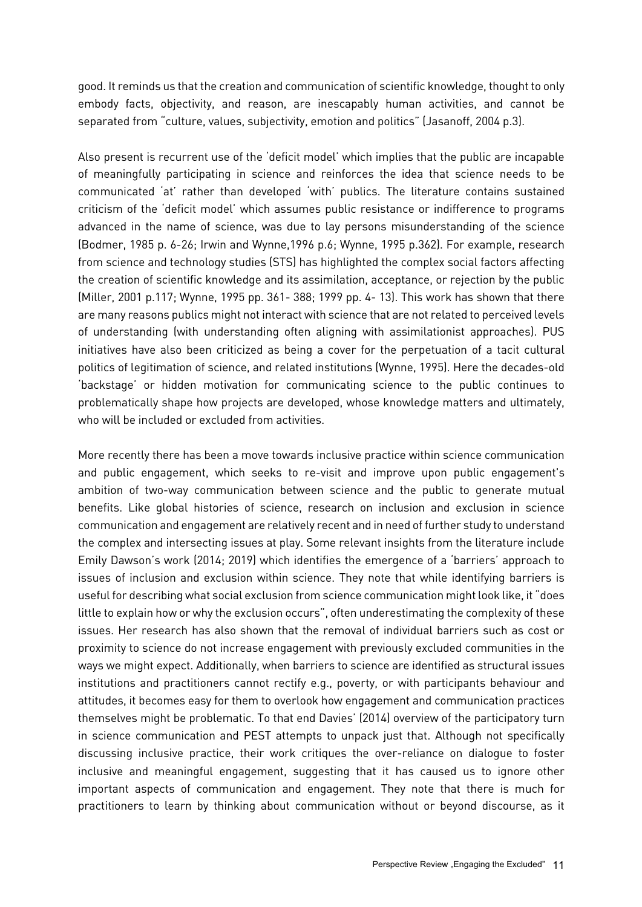good. It reminds us that the creation and communication of scientific knowledge, thought to only embody facts, objectivity, and reason, are inescapably human activities, and cannot be separated from "culture, values, subjectivity, emotion and politics" (Jasanoff, 2004 p.3).

Also present is recurrent use of the 'deficit model' which implies that the public are incapable of meaningfully participating in science and reinforces the idea that science needs to be communicated 'at' rather than developed 'with' publics. The literature contains sustained criticism of the 'deficit model' which assumes public resistance or indifference to programs advanced in the name of science, was due to lay persons misunderstanding of the science (Bodmer, 1985 p. 6-26; Irwin and Wynne,1996 p.6; Wynne, 1995 p.362). For example, research from science and technology studies (STS) has highlighted the complex social factors affecting the creation of scientific knowledge and its assimilation, acceptance, or rejection by the public (Miller, 2001 p.117; Wynne, 1995 pp. 361- 388; 1999 pp. 4- 13). This work has shown that there are many reasons publics might not interact with science that are not related to perceived levels of understanding (with understanding often aligning with assimilationist approaches). PUS initiatives have also been criticized as being a cover for the perpetuation of a tacit cultural politics of legitimation of science, and related institutions (Wynne, 1995). Here the decades-old 'backstage' or hidden motivation for communicating science to the public continues to problematically shape how projects are developed, whose knowledge matters and ultimately, who will be included or excluded from activities.

More recently there has been a move towards inclusive practice within science communication and public engagement, which seeks to re-visit and improve upon public engagement's ambition of two-way communication between science and the public to generate mutual benefits. Like global histories of science, research on inclusion and exclusion in science communication and engagement are relatively recent and in need of further study to understand the complex and intersecting issues at play. Some relevant insights from the literature include Emily Dawson's work (2014; 2019) which identifies the emergence of a 'barriers' approach to issues of inclusion and exclusion within science. They note that while identifying barriers is useful for describing what social exclusion from science communication might look like, it "does little to explain how or why the exclusion occurs", often underestimating the complexity of these issues. Her research has also shown that the removal of individual barriers such as cost or proximity to science do not increase engagement with previously excluded communities in the ways we might expect. Additionally, when barriers to science are identified as structural issues institutions and practitioners cannot rectify e.g., poverty, or with participants behaviour and attitudes, it becomes easy for them to overlook how engagement and communication practices themselves might be problematic. To that end Davies' (2014) overview of the participatory turn in science communication and PEST attempts to unpack just that. Although not specifically discussing inclusive practice, their work critiques the over-reliance on dialogue to foster inclusive and meaningful engagement, suggesting that it has caused us to ignore other important aspects of communication and engagement. They note that there is much for practitioners to learn by thinking about communication without or beyond discourse, as it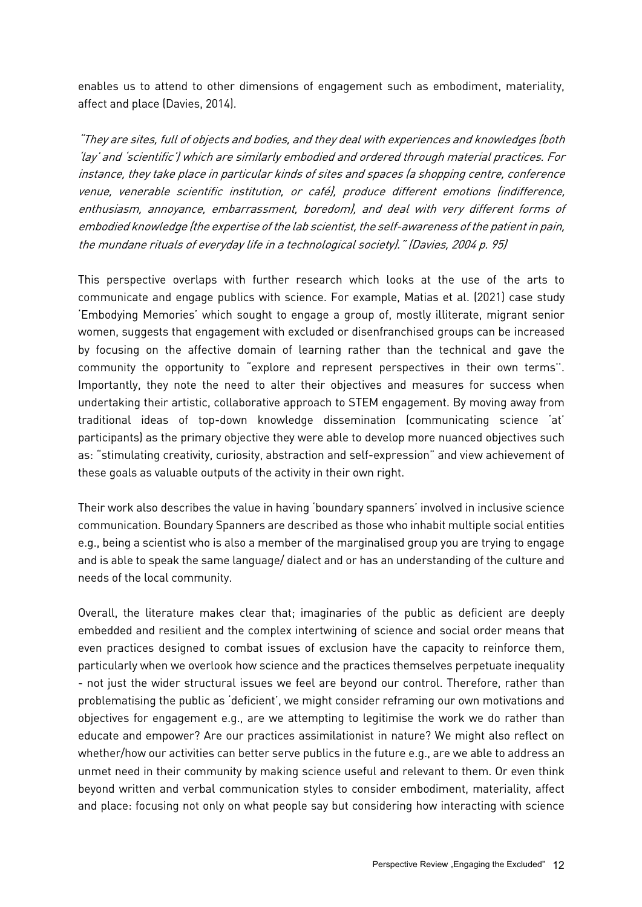enables us to attend to other dimensions of engagement such as embodiment, materiality, affect and place (Davies, 2014).

"They are sites, full of objects and bodies, and they deal with experiences and knowledges (both 'lay' and 'scientific') which are similarly embodied and ordered through material practices. For instance, they take place in particular kinds of sites and spaces (a shopping centre, conference venue, venerable scientific institution, or café), produce different emotions (indifference, enthusiasm, annoyance, embarrassment, boredom), and deal with very different forms of embodied knowledge (the expertise of the lab scientist, the self-awareness of the patient in pain, the mundane rituals of everyday life in a technological society)." (Davies, 2004 p. 95)

This perspective overlaps with further research which looks at the use of the arts to communicate and engage publics with science. For example, Matias et al. (2021) case study 'Embodying Memories' which sought to engage a group of, mostly illiterate, migrant senior women, suggests that engagement with excluded or disenfranchised groups can be increased by focusing on the affective domain of learning rather than the technical and gave the community the opportunity to "explore and represent perspectives in their own terms''. Importantly, they note the need to alter their objectives and measures for success when undertaking their artistic, collaborative approach to STEM engagement. By moving away from traditional ideas of top-down knowledge dissemination (communicating science 'at' participants) as the primary objective they were able to develop more nuanced objectives such as: "stimulating creativity, curiosity, abstraction and self-expression" and view achievement of these goals as valuable outputs of the activity in their own right.

Their work also describes the value in having 'boundary spanners' involved in inclusive science communication. Boundary Spanners are described as those who inhabit multiple social entities e.g., being a scientist who is also a member of the marginalised group you are trying to engage and is able to speak the same language/ dialect and or has an understanding of the culture and needs of the local community.

Overall, the literature makes clear that; imaginaries of the public as deficient are deeply embedded and resilient and the complex intertwining of science and social order means that even practices designed to combat issues of exclusion have the capacity to reinforce them, particularly when we overlook how science and the practices themselves perpetuate inequality - not just the wider structural issues we feel are beyond our control. Therefore, rather than problematising the public as 'deficient', we might consider reframing our own motivations and objectives for engagement e.g., are we attempting to legitimise the work we do rather than educate and empower? Are our practices assimilationist in nature? We might also reflect on whether/how our activities can better serve publics in the future e.g., are we able to address an unmet need in their community by making science useful and relevant to them. Or even think beyond written and verbal communication styles to consider embodiment, materiality, affect and place: focusing not only on what people say but considering how interacting with science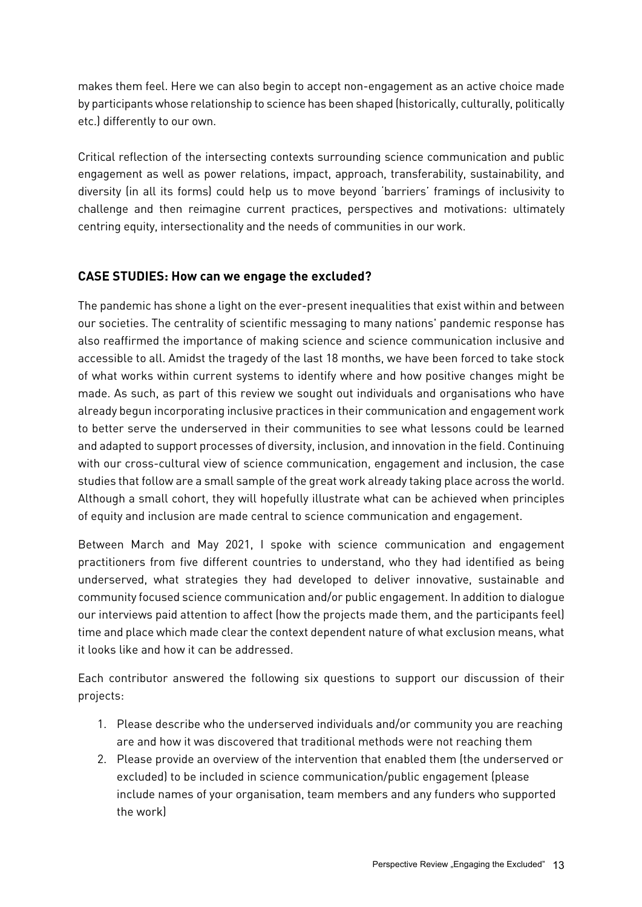makes them feel. Here we can also begin to accept non-engagement as an active choice made by participants whose relationship to science has been shaped (historically, culturally, politically etc.) differently to our own.

Critical reflection of the intersecting contexts surrounding science communication and public engagement as well as power relations, impact, approach, transferability, sustainability, and diversity (in all its forms) could help us to move beyond 'barriers' framings of inclusivity to challenge and then reimagine current practices, perspectives and motivations: ultimately centring equity, intersectionality and the needs of communities in our work.

# **CASE STUDIES: How can we engage the excluded?**

The pandemic has shone a light on the ever-present inequalities that exist within and between our societies. The centrality of scientific messaging to many nations' pandemic response has also reaffirmed the importance of making science and science communication inclusive and accessible to all. Amidst the tragedy of the last 18 months, we have been forced to take stock of what works within current systems to identify where and how positive changes might be made. As such, as part of this review we sought out individuals and organisations who have already begun incorporating inclusive practices in their communication and engagement work to better serve the underserved in their communities to see what lessons could be learned and adapted to support processes of diversity, inclusion, and innovation in the field. Continuing with our cross-cultural view of science communication, engagement and inclusion, the case studies that follow are a small sample of the great work already taking place across the world. Although a small cohort, they will hopefully illustrate what can be achieved when principles of equity and inclusion are made central to science communication and engagement.

Between March and May 2021, I spoke with science communication and engagement practitioners from five different countries to understand, who they had identified as being underserved, what strategies they had developed to deliver innovative, sustainable and community focused science communication and/or public engagement. In addition to dialogue our interviews paid attention to affect (how the projects made them, and the participants feel) time and place which made clear the context dependent nature of what exclusion means, what it looks like and how it can be addressed.

Each contributor answered the following six questions to support our discussion of their projects:

- 1. Please describe who the underserved individuals and/or community you are reaching are and how it was discovered that traditional methods were not reaching them
- 2. Please provide an overview of the intervention that enabled them (the underserved or excluded) to be included in science communication/public engagement (please include names of your organisation, team members and any funders who supported the work)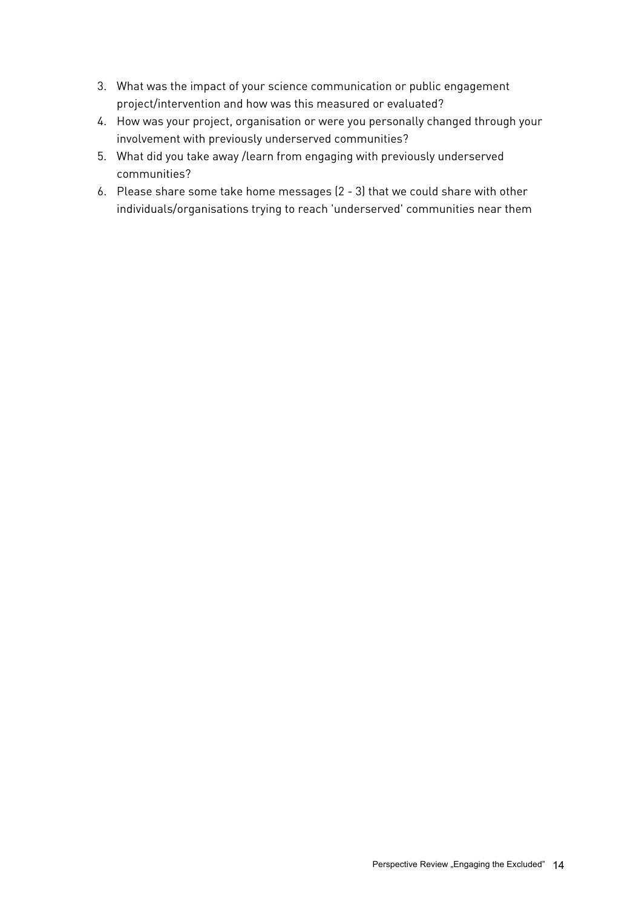- 3. What was the impact of your science communication or public engagement project/intervention and how was this measured or evaluated?
- 4. How was your project, organisation or were you personally changed through your involvement with previously underserved communities?
- 5. What did you take away /learn from engaging with previously underserved communities?
- 6. Please share some take home messages (2 3) that we could share with other individuals/organisations trying to reach 'underserved' communities near them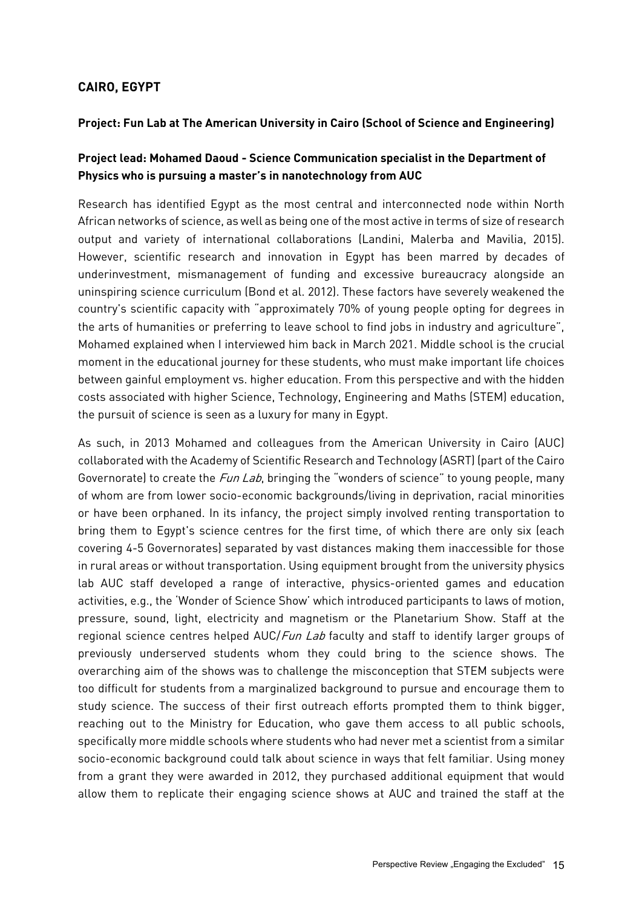## **CAIRO, EGYPT**

## **Project: Fun Lab at The American University in Cairo (School of Science and Engineering)**

# **Project lead: Mohamed Daoud - Science Communication specialist in the Department of Physics who is pursuing a master's in nanotechnology from AUC**

Research has identified Egypt as the most central and interconnected node within North African networks of science, as well as being one of the most active in terms of size of research output and variety of international collaborations (Landini, Malerba and Mavilia, 2015). However, scientific research and innovation in Egypt has been marred by decades of underinvestment, mismanagement of funding and excessive bureaucracy alongside an uninspiring science curriculum (Bond et al. 2012). These factors have severely weakened the country's scientific capacity with "approximately 70% of young people opting for degrees in the arts of humanities or preferring to leave school to find jobs in industry and agriculture", Mohamed explained when I interviewed him back in March 2021. Middle school is the crucial moment in the educational journey for these students, who must make important life choices between gainful employment vs. higher education. From this perspective and with the hidden costs associated with higher Science, Technology, Engineering and Maths (STEM) education, the pursuit of science is seen as a luxury for many in Egypt.

As such, in 2013 Mohamed and colleagues from the American University in Cairo (AUC) collaborated with the Academy of Scientific Research and Technology (ASRT) (part of the Cairo Governorate) to create the *Fun Lab*, bringing the "wonders of science" to young people, many of whom are from lower socio-economic backgrounds/living in deprivation, racial minorities or have been orphaned. In its infancy, the project simply involved renting transportation to bring them to Egypt's science centres for the first time, of which there are only six (each covering 4-5 Governorates) separated by vast distances making them inaccessible for those in rural areas or without transportation. Using equipment brought from the university physics lab AUC staff developed a range of interactive, physics-oriented games and education activities, e.g., the 'Wonder of Science Show' which introduced participants to laws of motion, pressure, sound, light, electricity and magnetism or the Planetarium Show. Staff at the regional science centres helped AUC/*Fun Lab* faculty and staff to identify larger groups of previously underserved students whom they could bring to the science shows. The overarching aim of the shows was to challenge the misconception that STEM subjects were too difficult for students from a marginalized background to pursue and encourage them to study science. The success of their first outreach efforts prompted them to think bigger, reaching out to the Ministry for Education, who gave them access to all public schools, specifically more middle schools where students who had never met a scientist from a similar socio-economic background could talk about science in ways that felt familiar. Using money from a grant they were awarded in 2012, they purchased additional equipment that would allow them to replicate their engaging science shows at AUC and trained the staff at the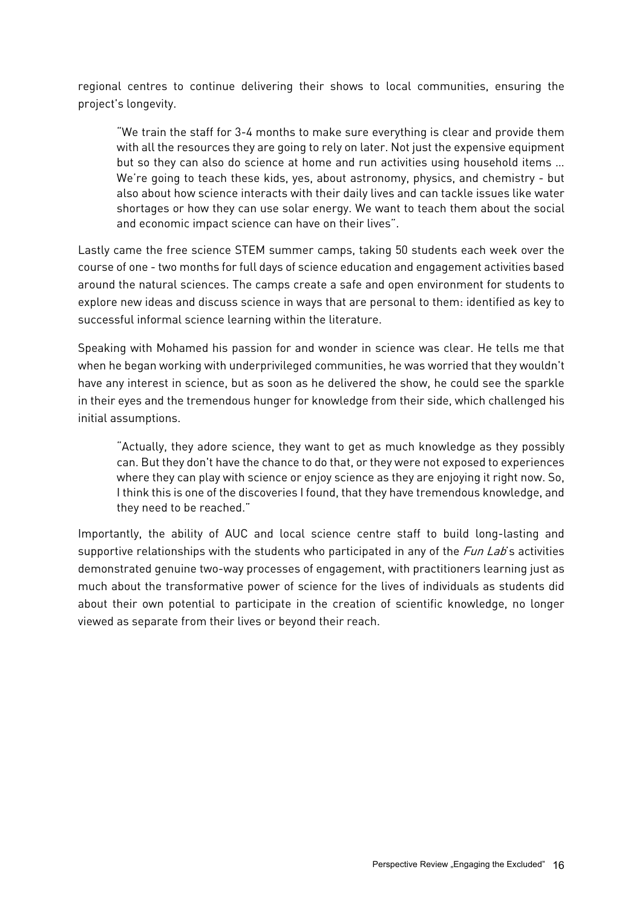regional centres to continue delivering their shows to local communities, ensuring the project's longevity.

"We train the staff for 3-4 months to make sure everything is clear and provide them with all the resources they are going to rely on later. Not just the expensive equipment but so they can also do science at home and run activities using household items … We're going to teach these kids, yes, about astronomy, physics, and chemistry - but also about how science interacts with their daily lives and can tackle issues like water shortages or how they can use solar energy. We want to teach them about the social and economic impact science can have on their lives".

Lastly came the free science STEM summer camps, taking 50 students each week over the course of one - two months for full days of science education and engagement activities based around the natural sciences. The camps create a safe and open environment for students to explore new ideas and discuss science in ways that are personal to them: identified as key to successful informal science learning within the literature.

Speaking with Mohamed his passion for and wonder in science was clear. He tells me that when he began working with underprivileged communities, he was worried that they wouldn't have any interest in science, but as soon as he delivered the show, he could see the sparkle in their eyes and the tremendous hunger for knowledge from their side, which challenged his initial assumptions.

"Actually, they adore science, they want to get as much knowledge as they possibly can. But they don't have the chance to do that, or they were not exposed to experiences where they can play with science or enjoy science as they are enjoying it right now. So, I think this is one of the discoveries I found, that they have tremendous knowledge, and they need to be reached."

Importantly, the ability of AUC and local science centre staff to build long-lasting and supportive relationships with the students who participated in any of the *Fun Lab's* activities demonstrated genuine two-way processes of engagement, with practitioners learning just as much about the transformative power of science for the lives of individuals as students did about their own potential to participate in the creation of scientific knowledge, no longer viewed as separate from their lives or beyond their reach.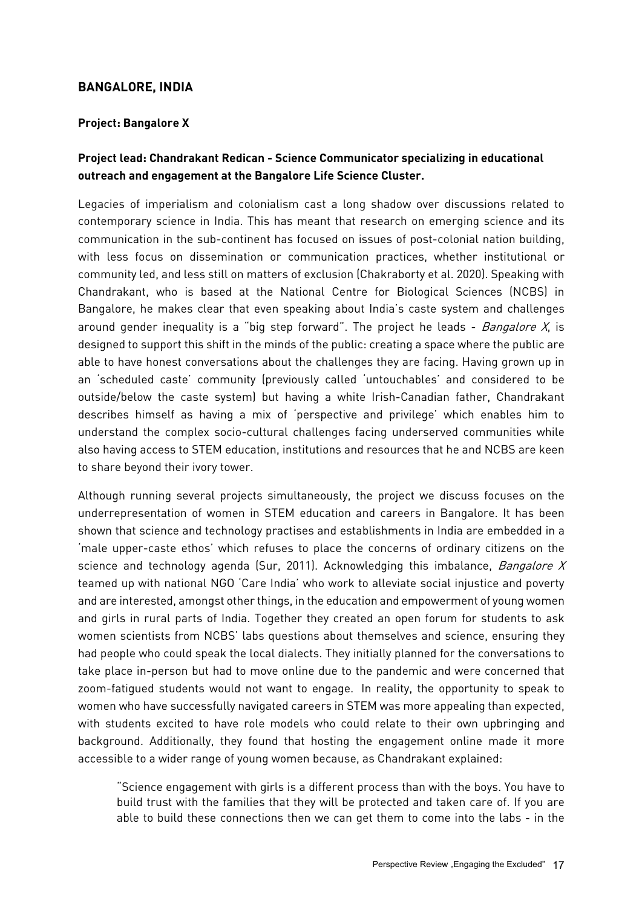## **BANGALORE, INDIA**

#### **Project: Bangalore X**

# **Project lead: Chandrakant Redican - Science Communicator specializing in educational outreach and engagement at the Bangalore Life Science Cluster.**

Legacies of imperialism and colonialism cast a long shadow over discussions related to contemporary science in India. This has meant that research on emerging science and its communication in the sub-continent has focused on issues of post-colonial nation building, with less focus on dissemination or communication practices, whether institutional or community led, and less still on matters of exclusion (Chakraborty et al. 2020). Speaking with Chandrakant, who is based at the National Centre for Biological Sciences (NCBS) in Bangalore, he makes clear that even speaking about India's caste system and challenges around gender inequality is a "big step forward". The project he leads - Bangalore  $X$ , is designed to support this shift in the minds of the public: creating a space where the public are able to have honest conversations about the challenges they are facing. Having grown up in an 'scheduled caste' community (previously called 'untouchables' and considered to be outside/below the caste system) but having a white Irish-Canadian father, Chandrakant describes himself as having a mix of 'perspective and privilege' which enables him to understand the complex socio-cultural challenges facing underserved communities while also having access to STEM education, institutions and resources that he and NCBS are keen to share beyond their ivory tower.

Although running several projects simultaneously, the project we discuss focuses on the underrepresentation of women in STEM education and careers in Bangalore. It has been shown that science and technology practises and establishments in India are embedded in a 'male upper-caste ethos' which refuses to place the concerns of ordinary citizens on the science and technology agenda (Sur, 2011). Acknowledging this imbalance, *Bangalore X* teamed up with national NGO 'Care India' who work to alleviate social injustice and poverty and are interested, amongst other things, in the education and empowerment of young women and girls in rural parts of India. Together they created an open forum for students to ask women scientists from NCBS' labs questions about themselves and science, ensuring they had people who could speak the local dialects. They initially planned for the conversations to take place in-person but had to move online due to the pandemic and were concerned that zoom-fatigued students would not want to engage. In reality, the opportunity to speak to women who have successfully navigated careers in STEM was more appealing than expected, with students excited to have role models who could relate to their own upbringing and background. Additionally, they found that hosting the engagement online made it more accessible to a wider range of young women because, as Chandrakant explained:

"Science engagement with girls is a different process than with the boys. You have to build trust with the families that they will be protected and taken care of. If you are able to build these connections then we can get them to come into the labs - in the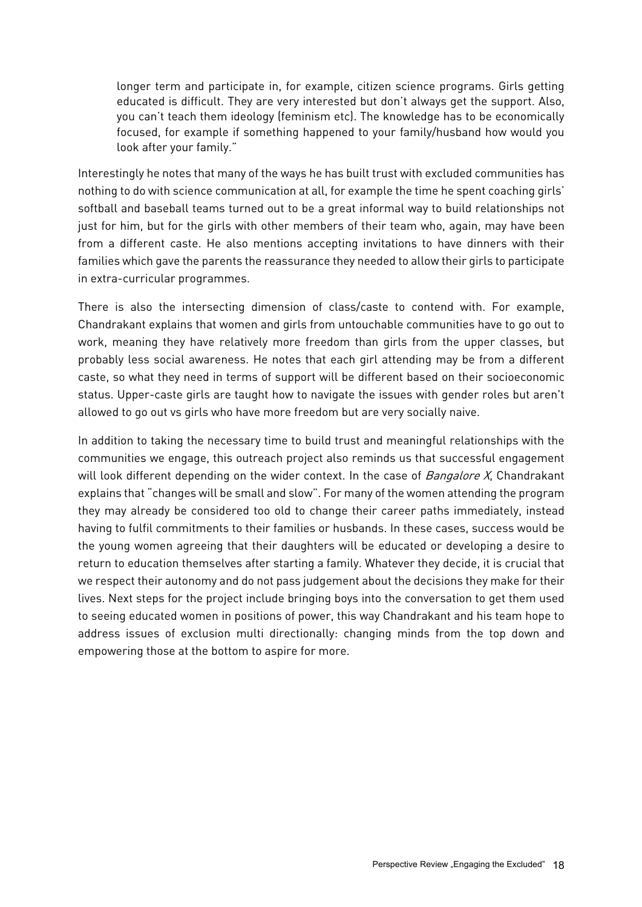longer term and participate in, for example, citizen science programs. Girls getting educated is difficult. They are very interested but don't always get the support. Also, you can't teach them ideology (feminism etc). The knowledge has to be economically focused, for example if something happened to your family/husband how would you look after your family."

Interestingly he notes that many of the ways he has built trust with excluded communities has nothing to do with science communication at all, for example the time he spent coaching girls' softball and baseball teams turned out to be a great informal way to build relationships not just for him, but for the girls with other members of their team who, again, may have been from a different caste. He also mentions accepting invitations to have dinners with their families which gave the parents the reassurance they needed to allow their girls to participate in extra-curricular programmes.

There is also the intersecting dimension of class/caste to contend with. For example, Chandrakant explains that women and girls from untouchable communities have to go out to work, meaning they have relatively more freedom than girls from the upper classes, but probably less social awareness. He notes that each girl attending may be from a different caste, so what they need in terms of support will be different based on their socioeconomic status. Upper-caste girls are taught how to navigate the issues with gender roles but aren't allowed to go out vs girls who have more freedom but are very socially naive.

In addition to taking the necessary time to build trust and meaningful relationships with the communities we engage, this outreach project also reminds us that successful engagement will look different depending on the wider context. In the case of *Bangalore X*, Chandrakant explains that "changes will be small and slow". For many of the women attending the program they may already be considered too old to change their career paths immediately, instead having to fulfil commitments to their families or husbands. In these cases, success would be the young women agreeing that their daughters will be educated or developing a desire to return to education themselves after starting a family. Whatever they decide, it is crucial that we respect their autonomy and do not pass judgement about the decisions they make for their lives. Next steps for the project include bringing boys into the conversation to get them used to seeing educated women in positions of power, this way Chandrakant and his team hope to address issues of exclusion multi directionally: changing minds from the top down and empowering those at the bottom to aspire for more.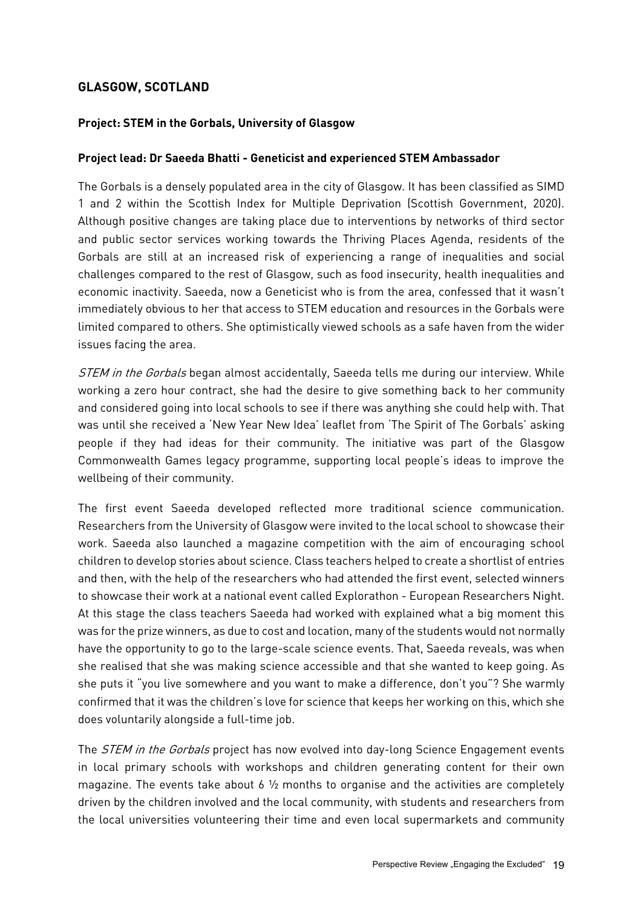# **GLASGOW, SCOTLAND**

## **Project: STEM in the Gorbals, University of Glasgow**

#### **Project lead: Dr Saeeda Bhatti - Geneticist and experienced STEM Ambassador**

The Gorbals is a densely populated area in the city of Glasgow. It has been classified as SIMD 1 and 2 within the Scottish Index for Multiple Deprivation (Scottish Government, 2020). Although positive changes are taking place due to interventions by networks of third sector and public sector services working towards the Thriving Places Agenda, residents of the Gorbals are still at an increased risk of experiencing a range of inequalities and social challenges compared to the rest of Glasgow, such as food insecurity, health inequalities and economic inactivity. Saeeda, now a Geneticist who is from the area, confessed that it wasn't immediately obvious to her that access to STEM education and resources in the Gorbals were limited compared to others. She optimistically viewed schools as a safe haven from the wider issues facing the area.

STEM in the Gorbals began almost accidentally, Saeeda tells me during our interview. While working a zero hour contract, she had the desire to give something back to her community and considered going into local schools to see if there was anything she could help with. That was until she received a 'New Year New Idea' leaflet from 'The Spirit of The Gorbals' asking people if they had ideas for their community. The initiative was part of the Glasgow Commonwealth Games legacy programme, supporting local people's ideas to improve the wellbeing of their community.

The first event Saeeda developed reflected more traditional science communication. Researchers from the University of Glasgow were invited to the local school to showcase their work. Saeeda also launched a magazine competition with the aim of encouraging school children to develop stories about science. Class teachers helped to create a shortlist of entries and then, with the help of the researchers who had attended the first event, selected winners to showcase their work at a national event called Explorathon - European Researchers Night. At this stage the class teachers Saeeda had worked with explained what a big moment this was for the prize winners, as due to cost and location, many of the students would not normally have the opportunity to go to the large-scale science events. That, Saeeda reveals, was when she realised that she was making science accessible and that she wanted to keep going. As she puts it "you live somewhere and you want to make a difference, don't you"? She warmly confirmed that it was the children's love for science that keeps her working on this, which she does voluntarily alongside a full-time job.

The *STEM in the Gorbals* project has now evolved into day-long Science Engagement events in local primary schools with workshops and children generating content for their own magazine. The events take about 6 1/2 months to organise and the activities are completely driven by the children involved and the local community, with students and researchers from the local universities volunteering their time and even local supermarkets and community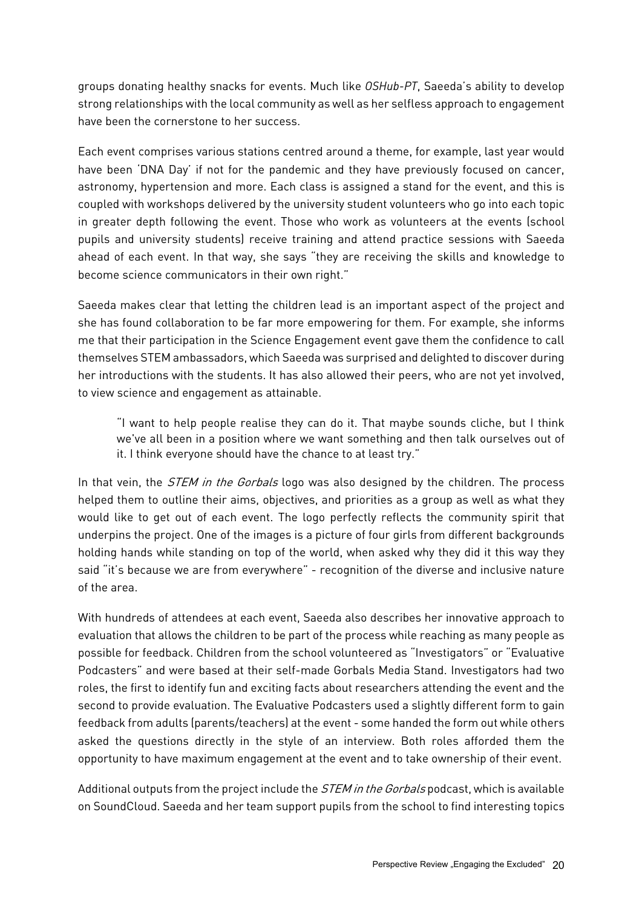groups donating healthy snacks for events. Much like *OSHub-PT*, Saeeda's ability to develop strong relationships with the local community as well as her selfless approach to engagement have been the cornerstone to her success.

Each event comprises various stations centred around a theme, for example, last year would have been 'DNA Day' if not for the pandemic and they have previously focused on cancer, astronomy, hypertension and more. Each class is assigned a stand for the event, and this is coupled with workshops delivered by the university student volunteers who go into each topic in greater depth following the event. Those who work as volunteers at the events (school pupils and university students) receive training and attend practice sessions with Saeeda ahead of each event. In that way, she says "they are receiving the skills and knowledge to become science communicators in their own right."

Saeeda makes clear that letting the children lead is an important aspect of the project and she has found collaboration to be far more empowering for them. For example, she informs me that their participation in the Science Engagement event gave them the confidence to call themselves STEM ambassadors, which Saeeda was surprised and delighted to discover during her introductions with the students. It has also allowed their peers, who are not yet involved, to view science and engagement as attainable.

"I want to help people realise they can do it. That maybe sounds cliche, but I think we've all been in a position where we want something and then talk ourselves out of it. I think everyone should have the chance to at least try."

In that vein, the *STEM in the Gorbals* logo was also designed by the children. The process helped them to outline their aims, objectives, and priorities as a group as well as what they would like to get out of each event. The logo perfectly reflects the community spirit that underpins the project. One of the images is a picture of four girls from different backgrounds holding hands while standing on top of the world, when asked why they did it this way they said "it's because we are from everywhere" - recognition of the diverse and inclusive nature of the area.

With hundreds of attendees at each event, Saeeda also describes her innovative approach to evaluation that allows the children to be part of the process while reaching as many people as possible for feedback. Children from the school volunteered as "Investigators" or "Evaluative Podcasters" and were based at their self-made Gorbals Media Stand. Investigators had two roles, the first to identify fun and exciting facts about researchers attending the event and the second to provide evaluation. The Evaluative Podcasters used a slightly different form to gain feedback from adults (parents/teachers) at the event - some handed the form out while others asked the questions directly in the style of an interview. Both roles afforded them the opportunity to have maximum engagement at the event and to take ownership of their event.

Additional outputs from the project include the *STEM in the Gorbals* podcast, which is available on SoundCloud. Saeeda and her team support pupils from the school to find interesting topics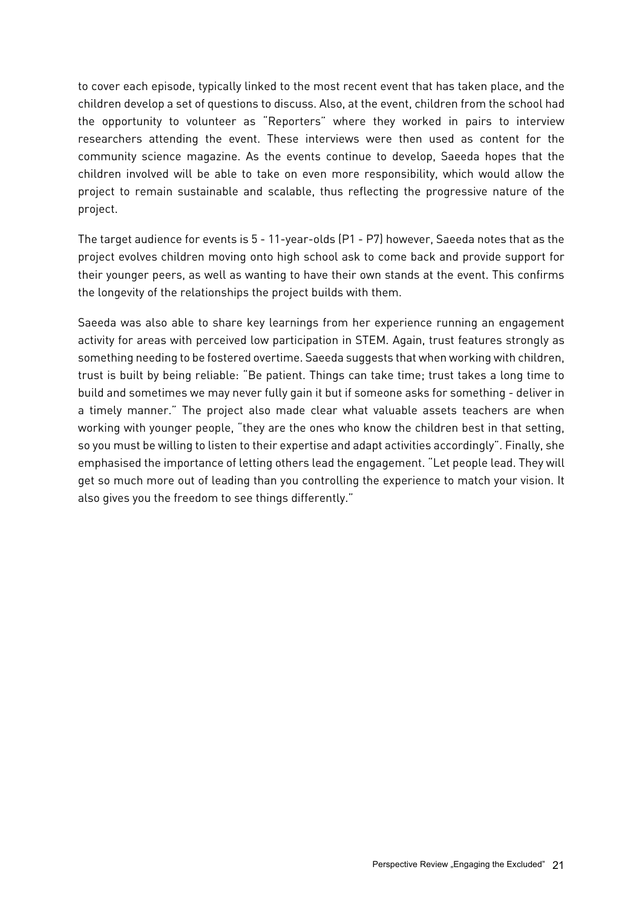to cover each episode, typically linked to the most recent event that has taken place, and the children develop a set of questions to discuss. Also, at the event, children from the school had the opportunity to volunteer as "Reporters" where they worked in pairs to interview researchers attending the event. These interviews were then used as content for the community science magazine. As the events continue to develop, Saeeda hopes that the children involved will be able to take on even more responsibility, which would allow the project to remain sustainable and scalable, thus reflecting the progressive nature of the project.

The target audience for events is 5 - 11-year-olds (P1 - P7) however, Saeeda notes that as the project evolves children moving onto high school ask to come back and provide support for their younger peers, as well as wanting to have their own stands at the event. This confirms the longevity of the relationships the project builds with them.

Saeeda was also able to share key learnings from her experience running an engagement activity for areas with perceived low participation in STEM. Again, trust features strongly as something needing to be fostered overtime. Saeeda suggests that when working with children, trust is built by being reliable: "Be patient. Things can take time; trust takes a long time to build and sometimes we may never fully gain it but if someone asks for something - deliver in a timely manner." The project also made clear what valuable assets teachers are when working with younger people, "they are the ones who know the children best in that setting, so you must be willing to listen to their expertise and adapt activities accordingly". Finally, she emphasised the importance of letting others lead the engagement. "Let people lead. They will get so much more out of leading than you controlling the experience to match your vision. It also gives you the freedom to see things differently."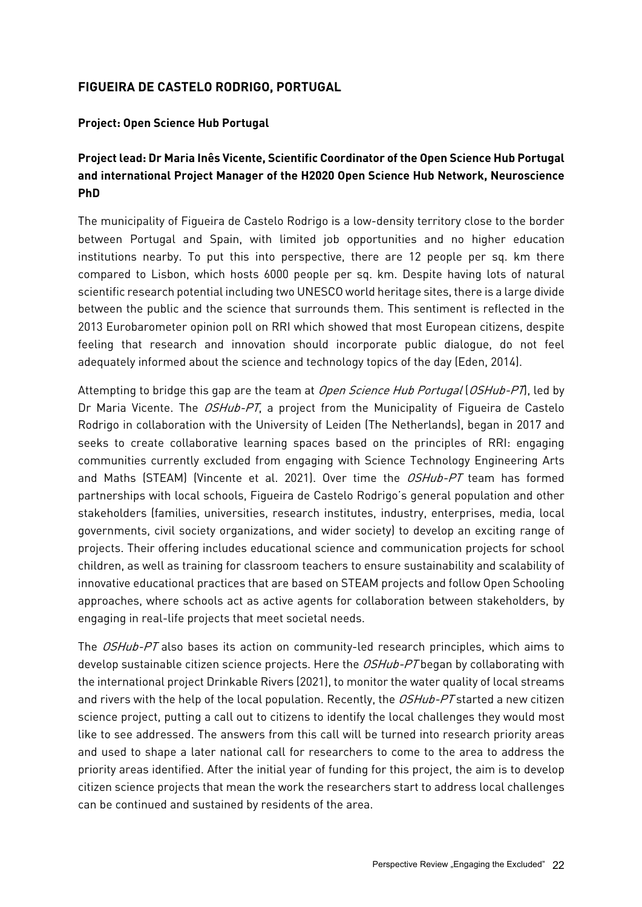# **FIGUEIRA DE CASTELO RODRIGO, PORTUGAL**

## **Project: Open Science Hub Portugal**

# **Project lead: Dr Maria Inês Vicente, Scientific Coordinator of the Open Science Hub Portugal and international Project Manager of the H2020 Open Science Hub Network, Neuroscience PhD**

The municipality of Figueira de Castelo Rodrigo is a low-density territory close to the border between Portugal and Spain, with limited job opportunities and no higher education institutions nearby. To put this into perspective, there are 12 people per sq. km there compared to Lisbon, which hosts 6000 people per sq. km. Despite having lots of natural scientific research potential including two UNESCO world heritage sites, there is a large divide between the public and the science that surrounds them. This sentiment is reflected in the 2013 Eurobarometer opinion poll on RRI which showed that most European citizens, despite feeling that research and innovation should incorporate public dialogue, do not feel adequately informed about the science and technology topics of the day (Eden, 2014).

Attempting to bridge this gap are the team at Open Science Hub Portugal (OSHub-PT), led by Dr Maria Vicente. The OSHub-PT, a project from the Municipality of Figueira de Castelo Rodrigo in collaboration with the University of Leiden (The Netherlands), began in 2017 and seeks to create collaborative learning spaces based on the principles of RRI: engaging communities currently excluded from engaging with Science Technology Engineering Arts and Maths (STEAM) (Vincente et al. 2021). Over time the *OSHub-PT* team has formed partnerships with local schools, Figueira de Castelo Rodrigo's general population and other stakeholders (families, universities, research institutes, industry, enterprises, media, local governments, civil society organizations, and wider society) to develop an exciting range of projects. Their offering includes educational science and communication projects for school children, as well as training for classroom teachers to ensure sustainability and scalability of innovative educational practices that are based on STEAM projects and follow Open Schooling approaches, where schools act as active agents for collaboration between stakeholders, by engaging in real-life projects that meet societal needs.

The *OSHub-PT* also bases its action on community-led research principles, which aims to develop sustainable citizen science projects. Here the OSHub-PT began by collaborating with the international project Drinkable Rivers (2021), to monitor the water quality of local streams and rivers with the help of the local population. Recently, the OSHub-PT started a new citizen science project, putting a call out to citizens to identify the local challenges they would most like to see addressed. The answers from this call will be turned into research priority areas and used to shape a later national call for researchers to come to the area to address the priority areas identified. After the initial year of funding for this project, the aim is to develop citizen science projects that mean the work the researchers start to address local challenges can be continued and sustained by residents of the area.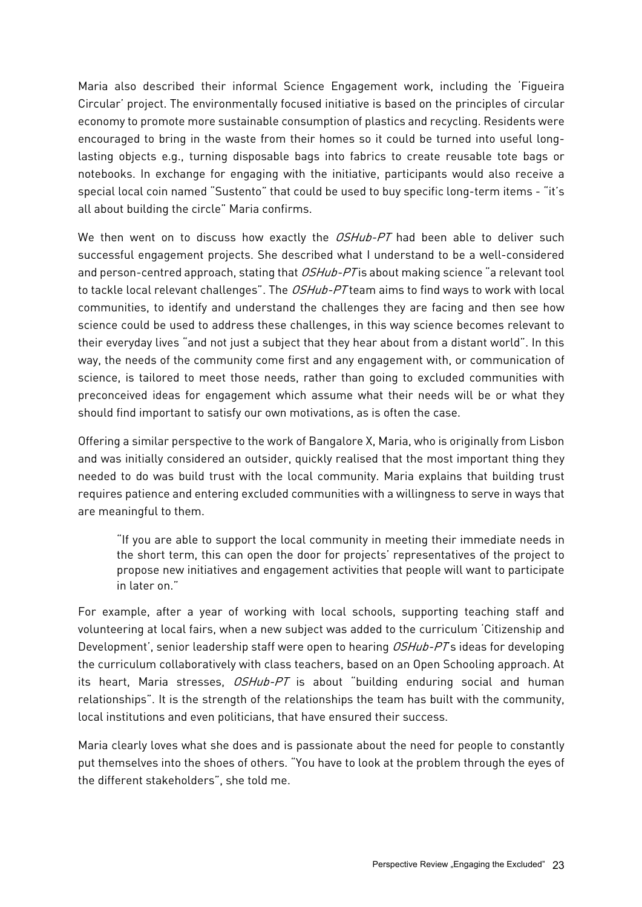Maria also described their informal Science Engagement work, including the 'Figueira Circular' project. The environmentally focused initiative is based on the principles of circular economy to promote more sustainable consumption of plastics and recycling. Residents were encouraged to bring in the waste from their homes so it could be turned into useful longlasting objects e.g., turning disposable bags into fabrics to create reusable tote bags or notebooks. In exchange for engaging with the initiative, participants would also receive a special local coin named "Sustento" that could be used to buy specific long-term items - "it's all about building the circle" Maria confirms.

We then went on to discuss how exactly the  $OSHub-PT$  had been able to deliver such successful engagement projects. She described what I understand to be a well-considered and person-centred approach, stating that OSHub-PT is about making science "a relevant tool to tackle local relevant challenges". The OSHub-PT team aims to find ways to work with local communities, to identify and understand the challenges they are facing and then see how science could be used to address these challenges, in this way science becomes relevant to their everyday lives "and not just a subject that they hear about from a distant world". In this way, the needs of the community come first and any engagement with, or communication of science, is tailored to meet those needs, rather than going to excluded communities with preconceived ideas for engagement which assume what their needs will be or what they should find important to satisfy our own motivations, as is often the case.

Offering a similar perspective to the work of Bangalore X, Maria, who is originally from Lisbon and was initially considered an outsider, quickly realised that the most important thing they needed to do was build trust with the local community. Maria explains that building trust requires patience and entering excluded communities with a willingness to serve in ways that are meaningful to them.

"If you are able to support the local community in meeting their immediate needs in the short term, this can open the door for projects' representatives of the project to propose new initiatives and engagement activities that people will want to participate in later on."

For example, after a year of working with local schools, supporting teaching staff and volunteering at local fairs, when a new subject was added to the curriculum 'Citizenship and Development', senior leadership staff were open to hearing OSHub-PTs ideas for developing the curriculum collaboratively with class teachers, based on an Open Schooling approach. At its heart, Maria stresses, OSHub-PT is about "building enduring social and human relationships". It is the strength of the relationships the team has built with the community, local institutions and even politicians, that have ensured their success.

Maria clearly loves what she does and is passionate about the need for people to constantly put themselves into the shoes of others. "You have to look at the problem through the eyes of the different stakeholders", she told me.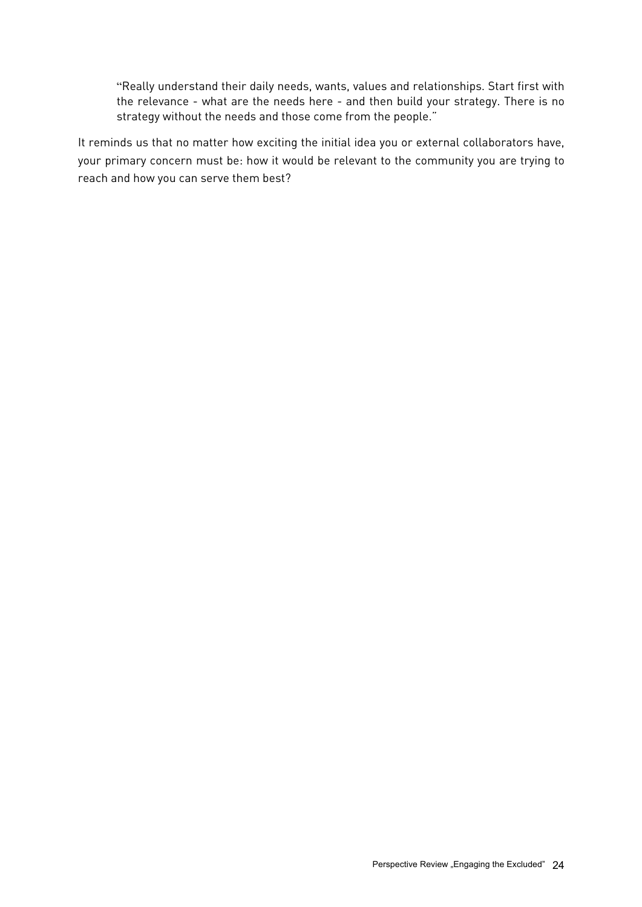"Really understand their daily needs, wants, values and relationships. Start first with the relevance - what are the needs here - and then build your strategy. There is no strategy without the needs and those come from the people."

It reminds us that no matter how exciting the initial idea you or external collaborators have, your primary concern must be: how it would be relevant to the community you are trying to reach and how you can serve them best?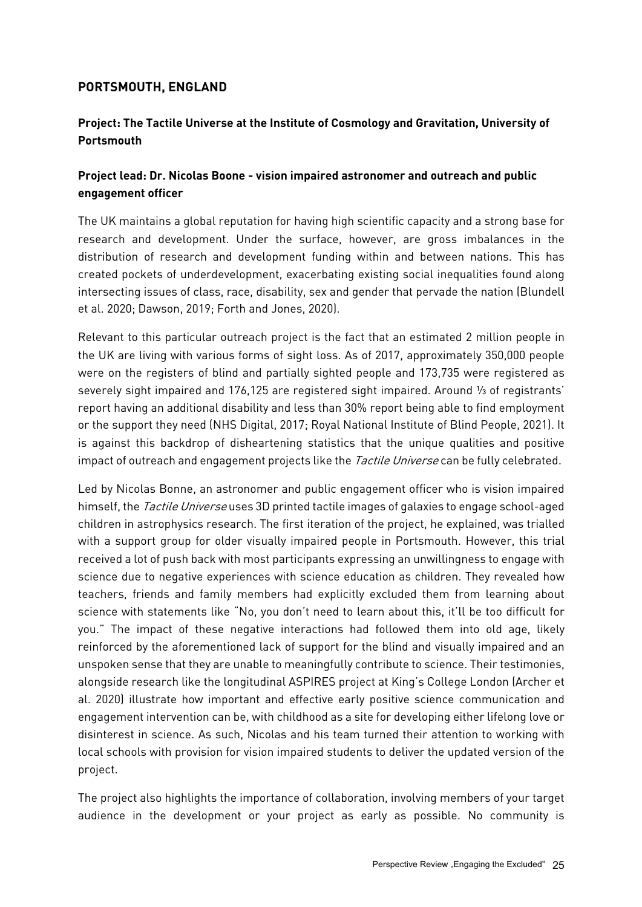# **PORTSMOUTH, ENGLAND**

# **Project: The Tactile Universe at the Institute of Cosmology and Gravitation, University of Portsmouth**

# **Project lead: Dr. Nicolas Boone - vision impaired astronomer and outreach and public engagement officer**

The UK maintains a global reputation for having high scientific capacity and a strong base for research and development. Under the surface, however, are gross imbalances in the distribution of research and development funding within and between nations. This has created pockets of underdevelopment, exacerbating existing social inequalities found along intersecting issues of class, race, disability, sex and gender that pervade the nation (Blundell et al. 2020; Dawson, 2019; Forth and Jones, 2020).

Relevant to this particular outreach project is the fact that an estimated 2 million people in the UK are living with various forms of sight loss. As of 2017, approximately 350,000 people were on the registers of blind and partially sighted people and 173,735 were registered as severely sight impaired and 176,125 are registered sight impaired. Around ⅓ of registrants' report having an additional disability and less than 30% report being able to find employment or the support they need (NHS Digital, 2017; Royal National Institute of Blind People, 2021). It is against this backdrop of disheartening statistics that the unique qualities and positive impact of outreach and engagement projects like the Tactile Universe can be fully celebrated.

Led by Nicolas Bonne, an astronomer and public engagement officer who is vision impaired himself, the Tactile Universe uses 3D printed tactile images of galaxies to engage school-aged children in astrophysics research. The first iteration of the project, he explained, was trialled with a support group for older visually impaired people in Portsmouth. However, this trial received a lot of push back with most participants expressing an unwillingness to engage with science due to negative experiences with science education as children. They revealed how teachers, friends and family members had explicitly excluded them from learning about science with statements like "No, you don't need to learn about this, it'll be too difficult for you." The impact of these negative interactions had followed them into old age, likely reinforced by the aforementioned lack of support for the blind and visually impaired and an unspoken sense that they are unable to meaningfully contribute to science. Their testimonies, alongside research like the longitudinal ASPIRES project at King's College London (Archer et al. 2020) illustrate how important and effective early positive science communication and engagement intervention can be, with childhood as a site for developing either lifelong love or disinterest in science. As such, Nicolas and his team turned their attention to working with local schools with provision for vision impaired students to deliver the updated version of the project.

The project also highlights the importance of collaboration, involving members of your target audience in the development or your project as early as possible. No community is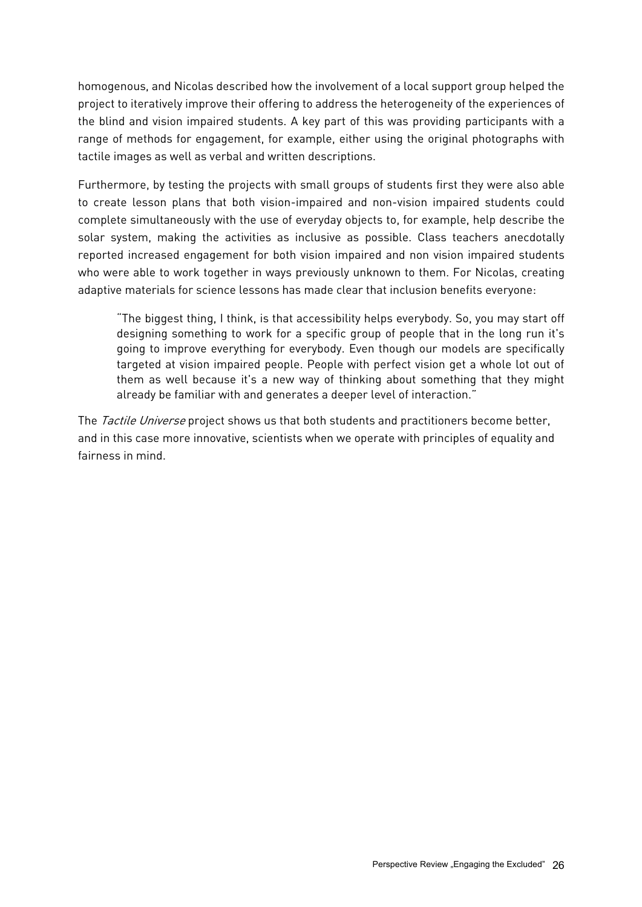homogenous, and Nicolas described how the involvement of a local support group helped the project to iteratively improve their offering to address the heterogeneity of the experiences of the blind and vision impaired students. A key part of this was providing participants with a range of methods for engagement, for example, either using the original photographs with tactile images as well as verbal and written descriptions.

Furthermore, by testing the projects with small groups of students first they were also able to create lesson plans that both vision-impaired and non-vision impaired students could complete simultaneously with the use of everyday objects to, for example, help describe the solar system, making the activities as inclusive as possible. Class teachers anecdotally reported increased engagement for both vision impaired and non vision impaired students who were able to work together in ways previously unknown to them. For Nicolas, creating adaptive materials for science lessons has made clear that inclusion benefits everyone:

"The biggest thing, I think, is that accessibility helps everybody. So, you may start off designing something to work for a specific group of people that in the long run it's going to improve everything for everybody. Even though our models are specifically targeted at vision impaired people. People with perfect vision get a whole lot out of them as well because it's a new way of thinking about something that they might already be familiar with and generates a deeper level of interaction."

The Tactile Universe project shows us that both students and practitioners become better, and in this case more innovative, scientists when we operate with principles of equality and fairness in mind.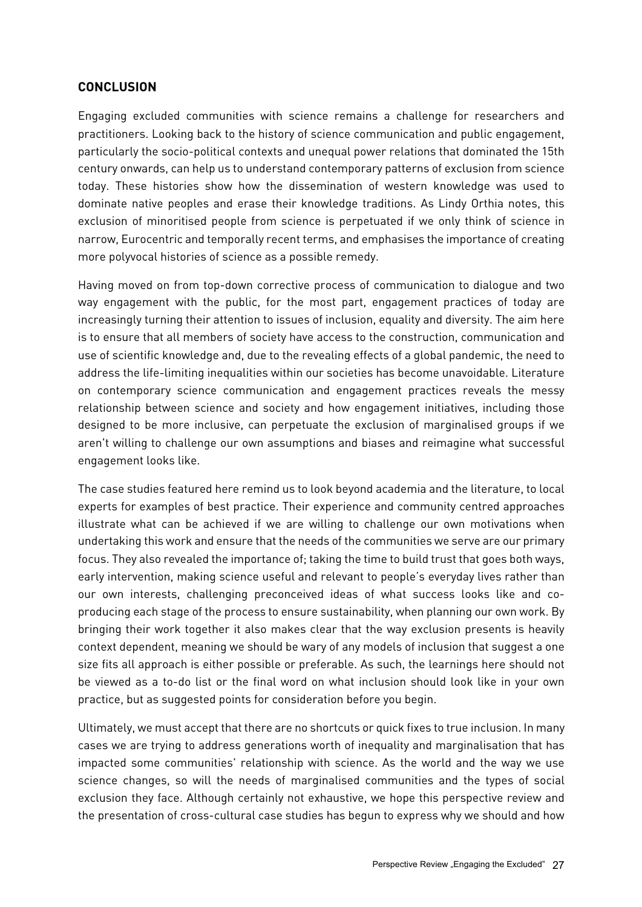## **CONCLUSION**

Engaging excluded communities with science remains a challenge for researchers and practitioners. Looking back to the history of science communication and public engagement, particularly the socio-political contexts and unequal power relations that dominated the 15th century onwards, can help us to understand contemporary patterns of exclusion from science today. These histories show how the dissemination of western knowledge was used to dominate native peoples and erase their knowledge traditions. As Lindy Orthia notes, this exclusion of minoritised people from science is perpetuated if we only think of science in narrow, Eurocentric and temporally recent terms, and emphasises the importance of creating more polyvocal histories of science as a possible remedy.

Having moved on from top-down corrective process of communication to dialogue and two way engagement with the public, for the most part, engagement practices of today are increasingly turning their attention to issues of inclusion, equality and diversity. The aim here is to ensure that all members of society have access to the construction, communication and use of scientific knowledge and, due to the revealing effects of a global pandemic, the need to address the life-limiting inequalities within our societies has become unavoidable. Literature on contemporary science communication and engagement practices reveals the messy relationship between science and society and how engagement initiatives, including those designed to be more inclusive, can perpetuate the exclusion of marginalised groups if we aren't willing to challenge our own assumptions and biases and reimagine what successful engagement looks like.

The case studies featured here remind us to look beyond academia and the literature, to local experts for examples of best practice. Their experience and community centred approaches illustrate what can be achieved if we are willing to challenge our own motivations when undertaking this work and ensure that the needs of the communities we serve are our primary focus. They also revealed the importance of; taking the time to build trust that goes both ways, early intervention, making science useful and relevant to people's everyday lives rather than our own interests, challenging preconceived ideas of what success looks like and coproducing each stage of the process to ensure sustainability, when planning our own work. By bringing their work together it also makes clear that the way exclusion presents is heavily context dependent, meaning we should be wary of any models of inclusion that suggest a one size fits all approach is either possible or preferable. As such, the learnings here should not be viewed as a to-do list or the final word on what inclusion should look like in your own practice, but as suggested points for consideration before you begin.

Ultimately, we must accept that there are no shortcuts or quick fixes to true inclusion. In many cases we are trying to address generations worth of inequality and marginalisation that has impacted some communities' relationship with science. As the world and the way we use science changes, so will the needs of marginalised communities and the types of social exclusion they face. Although certainly not exhaustive, we hope this perspective review and the presentation of cross-cultural case studies has begun to express why we should and how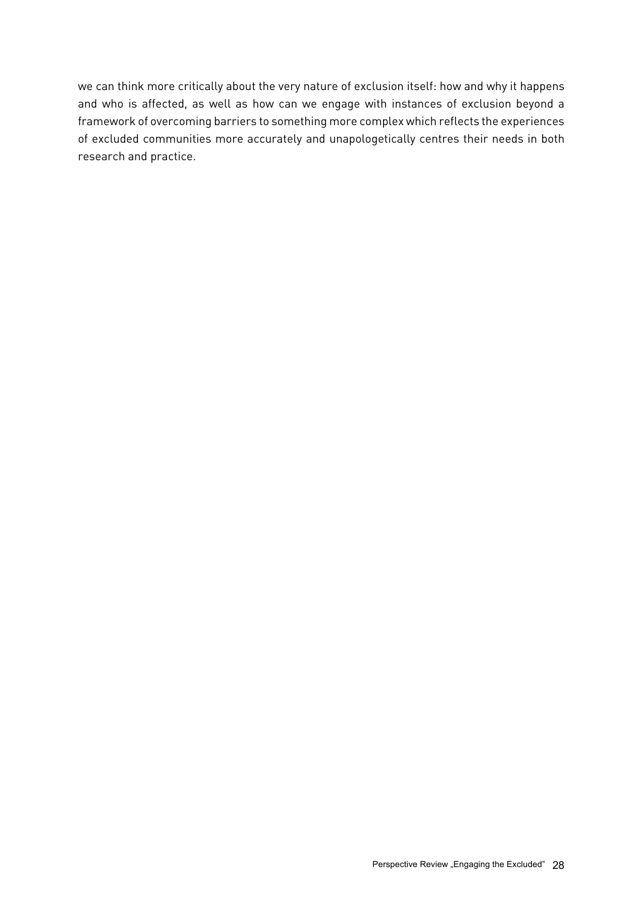we can think more critically about the very nature of exclusion itself: how and why it happens and who is affected, as well as how can we engage with instances of exclusion beyond a framework of overcoming barriers to something more complex which reflects the experiences of excluded communities more accurately and unapologetically centres their needs in both research and practice.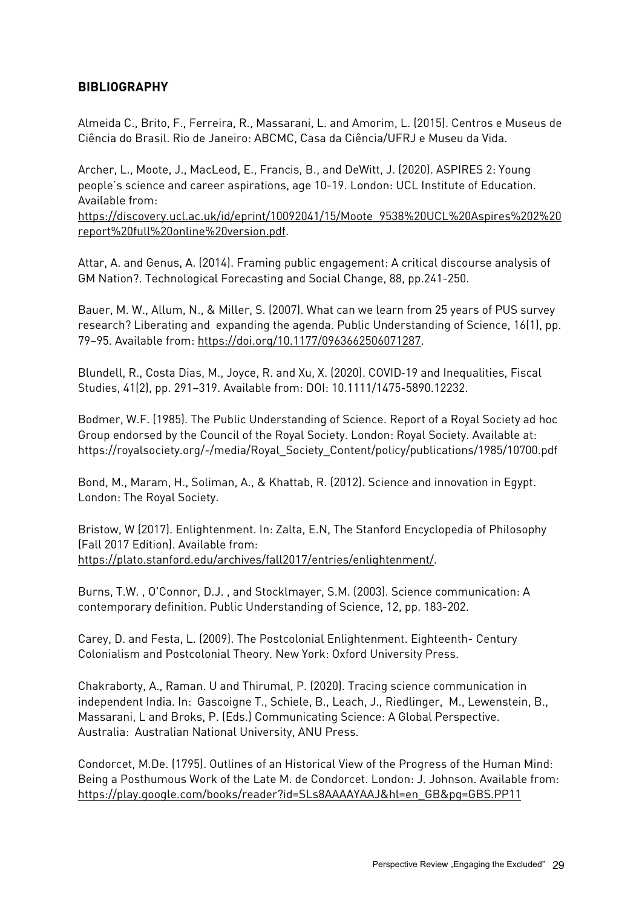# **BIBLIOGRAPHY**

Almeida C., Brito, F., Ferreira, R., Massarani, L. and Amorim, L. (2015). Centros e Museus de Ciência do Brasil. Rio de Janeiro: ABCMC, Casa da Ciência/UFRJ e Museu da Vida.

Archer, L., Moote, J., MacLeod, E., Francis, B., and DeWitt, J. (2020). ASPIRES 2: Young people's science and career aspirations, age 10-19. London: UCL Institute of Education. Available from:

https://discovery.ucl.ac.uk/id/eprint/10092041/15/Moote\_9538%20UCL%20Aspires%202%20 report%20full%20online%20version.pdf.

Attar, A. and Genus, A. (2014). Framing public engagement: A critical discourse analysis of GM Nation?. Technological Forecasting and Social Change, 88, pp.241-250.

Bauer, M. W., Allum, N., & Miller, S. (2007). What can we learn from 25 years of PUS survey research? Liberating and expanding the agenda. Public Understanding of Science, 16(1), pp. 79–95. Available from: https://doi.org/10.1177/0963662506071287.

Blundell, R., Costa Dias, M., Joyce, R. and Xu, X. (2020). COVID-19 and Inequalities, Fiscal Studies, 41(2), pp. 291–319. Available from: DOI: 10.1111/1475-5890.12232.

Bodmer, W.F. (1985). The Public Understanding of Science. Report of a Royal Society ad hoc Group endorsed by the Council of the Royal Society. London: Royal Society. Available at: https://royalsociety.org/-/media/Royal\_Society\_Content/policy/publications/1985/10700.pdf

Bond, M., Maram, H., Soliman, A., & Khattab, R. (2012). Science and innovation in Egypt. London: The Royal Society.

Bristow, W (2017). Enlightenment. In: Zalta, E.N, The Stanford Encyclopedia of Philosophy (Fall 2017 Edition). Available from: https://plato.stanford.edu/archives/fall2017/entries/enlightenment/.

Burns, T.W. , O'Connor, D.J. , and Stocklmayer, S.M. (2003). Science communication: A contemporary definition. Public Understanding of Science, 12, pp. 183-202.

Carey, D. and Festa, L. (2009). The Postcolonial Enlightenment. Eighteenth- Century Colonialism and Postcolonial Theory. New York: Oxford University Press.

Chakraborty, A., Raman. U and Thirumal, P. (2020). Tracing science communication in independent India. In: Gascoigne T., Schiele, B., Leach, J., Riedlinger, M., Lewenstein, B., Massarani, L and Broks, P. (Eds.) Communicating Science: A Global Perspective. Australia: Australian National University, ANU Press.

Condorcet, M.De. (1795). Outlines of an Historical View of the Progress of the Human Mind: Being a Posthumous Work of the Late M. de Condorcet. London: J. Johnson. Available from: https://play.google.com/books/reader?id=SLs8AAAAYAAJ&hl=en\_GB&pg=GBS.PP11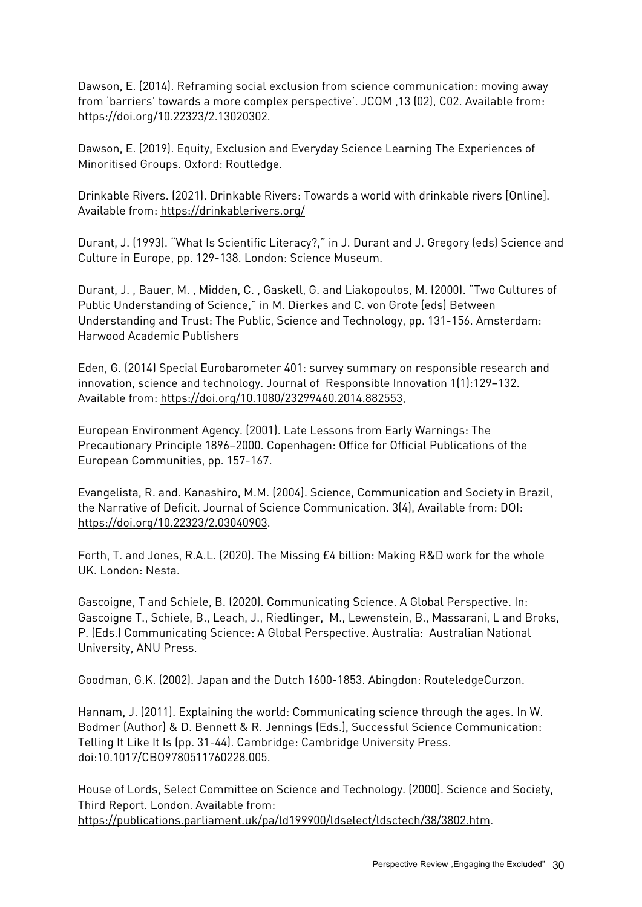Dawson, E. (2014). Reframing social exclusion from science communication: moving away from 'barriers' towards a more complex perspective'. JCOM ,13 (02), C02. Available from: https://doi.org/10.22323/2.13020302.

Dawson, E. (2019). Equity, Exclusion and Everyday Science Learning The Experiences of Minoritised Groups. Oxford: Routledge.

Drinkable Rivers. (2021). Drinkable Rivers: Towards a world with drinkable rivers [Online]. Available from: https://drinkablerivers.org/

Durant, J. (1993). "What Is Scientific Literacy?," in J. Durant and J. Gregory (eds) Science and Culture in Europe, pp. 129-138. London: Science Museum.

Durant, J. , Bauer, M. , Midden, C. , Gaskell, G. and Liakopoulos, M. (2000). "Two Cultures of Public Understanding of Science," in M. Dierkes and C. von Grote (eds) Between Understanding and Trust: The Public, Science and Technology, pp. 131-156. Amsterdam: Harwood Academic Publishers

Eden, G. (2014) Special Eurobarometer 401: survey summary on responsible research and innovation, science and technology. Journal of Responsible Innovation 1(1):129–132. Available from: https://doi.org/10.1080/23299460.2014.882553,

European Environment Agency. (2001). Late Lessons from Early Warnings: The Precautionary Principle 1896–2000. Copenhagen: Office for Official Publications of the European Communities, pp. 157-167.

Evangelista, R. and. Kanashiro, M.M. (2004). Science, Communication and Society in Brazil, the Narrative of Deficit. Journal of Science Communication. 3(4), Available from: DOI: https://doi.org/10.22323/2.03040903.

Forth, T. and Jones, R.A.L. (2020). The Missing £4 billion: Making R&D work for the whole UK. London: Nesta.

Gascoigne, T and Schiele, B. (2020). Communicating Science. A Global Perspective. In: Gascoigne T., Schiele, B., Leach, J., Riedlinger, M., Lewenstein, B., Massarani, L and Broks, P. (Eds.) Communicating Science: A Global Perspective. Australia: Australian National University, ANU Press.

Goodman, G.K. (2002). Japan and the Dutch 1600-1853. Abingdon: RouteledgeCurzon.

Hannam, J. (2011). Explaining the world: Communicating science through the ages. In W. Bodmer (Author) & D. Bennett & R. Jennings (Eds.), Successful Science Communication: Telling It Like It Is (pp. 31-44). Cambridge: Cambridge University Press. doi:10.1017/CBO9780511760228.005.

House of Lords, Select Committee on Science and Technology. (2000). Science and Society, Third Report. London. Available from: https://publications.parliament.uk/pa/ld199900/ldselect/ldsctech/38/3802.htm.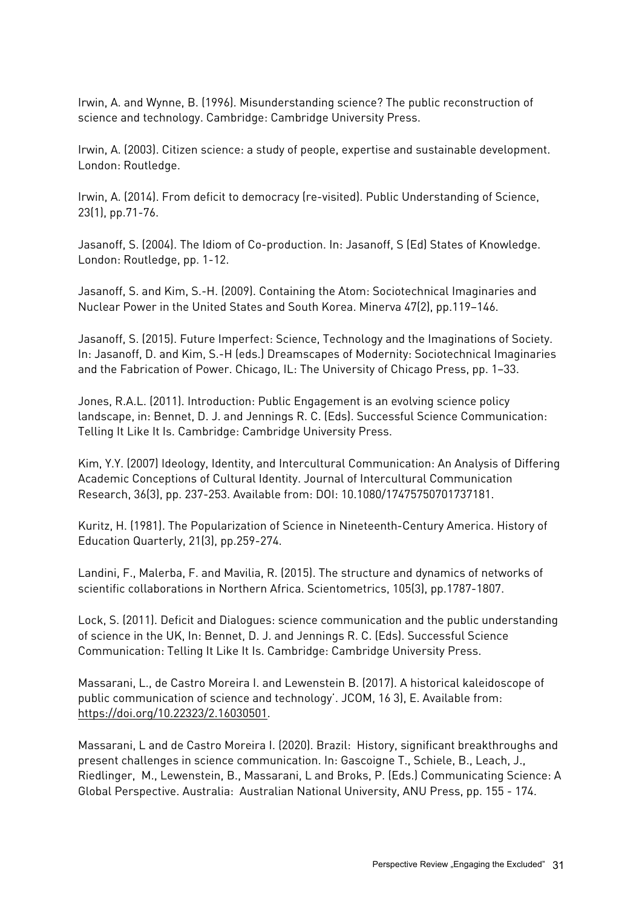Irwin, A. and Wynne, B. (1996). Misunderstanding science? The public reconstruction of science and technology. Cambridge: Cambridge University Press.

Irwin, A. (2003). Citizen science: a study of people, expertise and sustainable development. London: Routledge.

Irwin, A. (2014). From deficit to democracy (re-visited). Public Understanding of Science, 23(1), pp.71-76.

Jasanoff, S. (2004). The Idiom of Co-production. In: Jasanoff, S (Ed) States of Knowledge. London: Routledge, pp. 1-12.

Jasanoff, S. and Kim, S.-H. (2009). Containing the Atom: Sociotechnical Imaginaries and Nuclear Power in the United States and South Korea. Minerva 47(2), pp.119–146.

Jasanoff, S. (2015). Future Imperfect: Science, Technology and the Imaginations of Society. In: Jasanoff, D. and Kim, S.-H (eds.) Dreamscapes of Modernity: Sociotechnical Imaginaries and the Fabrication of Power. Chicago, IL: The University of Chicago Press, pp. 1–33.

Jones, R.A.L. (2011). Introduction: Public Engagement is an evolving science policy landscape, in: Bennet, D. J. and Jennings R. C. (Eds). Successful Science Communication: Telling It Like It Is. Cambridge: Cambridge University Press.

Kim, Y.Y. (2007) Ideology, Identity, and Intercultural Communication: An Analysis of Differing Academic Conceptions of Cultural Identity. Journal of Intercultural Communication Research, 36(3), pp. 237-253. Available from: DOI: 10.1080/17475750701737181.

Kuritz, H. (1981). The Popularization of Science in Nineteenth-Century America. History of Education Quarterly, 21(3), pp.259-274.

Landini, F., Malerba, F. and Mavilia, R. (2015). The structure and dynamics of networks of scientific collaborations in Northern Africa. Scientometrics, 105(3), pp.1787-1807.

Lock, S. (2011). Deficit and Dialogues: science communication and the public understanding of science in the UK, In: Bennet, D. J. and Jennings R. C. (Eds). Successful Science Communication: Telling It Like It Is. Cambridge: Cambridge University Press.

Massarani, L., de Castro Moreira I. and Lewenstein B. (2017). A historical kaleidoscope of public communication of science and technology'. JCOM, 16 3), E. Available from: https://doi.org/10.22323/2.16030501.

Massarani, L and de Castro Moreira I. (2020). Brazil: History, significant breakthroughs and present challenges in science communication. In: Gascoigne T., Schiele, B., Leach, J., Riedlinger, M., Lewenstein, B., Massarani, L and Broks, P. (Eds.) Communicating Science: A Global Perspective. Australia: Australian National University, ANU Press, pp. 155 - 174.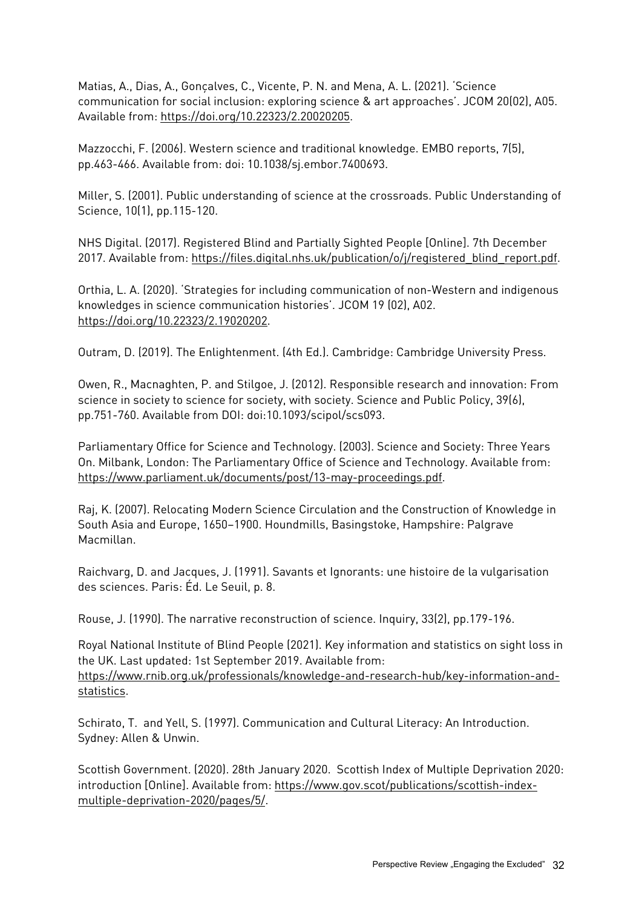Matias, A., Dias, A., Gonçalves, C., Vicente, P. N. and Mena, A. L. (2021). 'Science communication for social inclusion: exploring science & art approaches'. JCOM 20(02), A05. Available from: https://doi.org/10.22323/2.20020205.

Mazzocchi, F. (2006). Western science and traditional knowledge. EMBO reports, 7(5), pp.463-466. Available from: doi: 10.1038/sj.embor.7400693.

Miller, S. (2001). Public understanding of science at the crossroads. Public Understanding of Science, 10(1), pp.115-120.

NHS Digital. (2017). Registered Blind and Partially Sighted People [Online]. 7th December 2017. Available from: https://files.digital.nhs.uk/publication/o/j/registered blind report.pdf.

Orthia, L. A. (2020). 'Strategies for including communication of non-Western and indigenous knowledges in science communication histories'. JCOM 19 (02), A02. https://doi.org/10.22323/2.19020202.

Outram, D. (2019). The Enlightenment. (4th Ed.). Cambridge: Cambridge University Press.

Owen, R., Macnaghten, P. and Stilgoe, J. (2012). Responsible research and innovation: From science in society to science for society, with society. Science and Public Policy, 39(6), pp.751-760. Available from DOI: doi:10.1093/scipol/scs093.

Parliamentary Office for Science and Technology. (2003). Science and Society: Three Years On. Milbank, London: The Parliamentary Office of Science and Technology. Available from: https://www.parliament.uk/documents/post/13-may-proceedings.pdf.

Raj, K. (2007). Relocating Modern Science Circulation and the Construction of Knowledge in South Asia and Europe, 1650–1900. Houndmills, Basingstoke, Hampshire: Palgrave Macmillan.

Raichvarg, D. and Jacques, J. (1991). Savants et Ignorants: une histoire de la vulgarisation des sciences. Paris: Éd. Le Seuil, p. 8.

Rouse, J. (1990). The narrative reconstruction of science. Inquiry, 33(2), pp.179-196.

Royal National Institute of Blind People (2021). Key information and statistics on sight loss in the UK. Last updated: 1st September 2019. Available from: https://www.rnib.org.uk/professionals/knowledge-and-research-hub/key-information-andstatistics.

Schirato, T. and Yell, S. (1997). Communication and Cultural Literacy: An Introduction. Sydney: Allen & Unwin.

Scottish Government. (2020). 28th January 2020. Scottish Index of Multiple Deprivation 2020: introduction [Online]. Available from: https://www.gov.scot/publications/scottish-indexmultiple-deprivation-2020/pages/5/.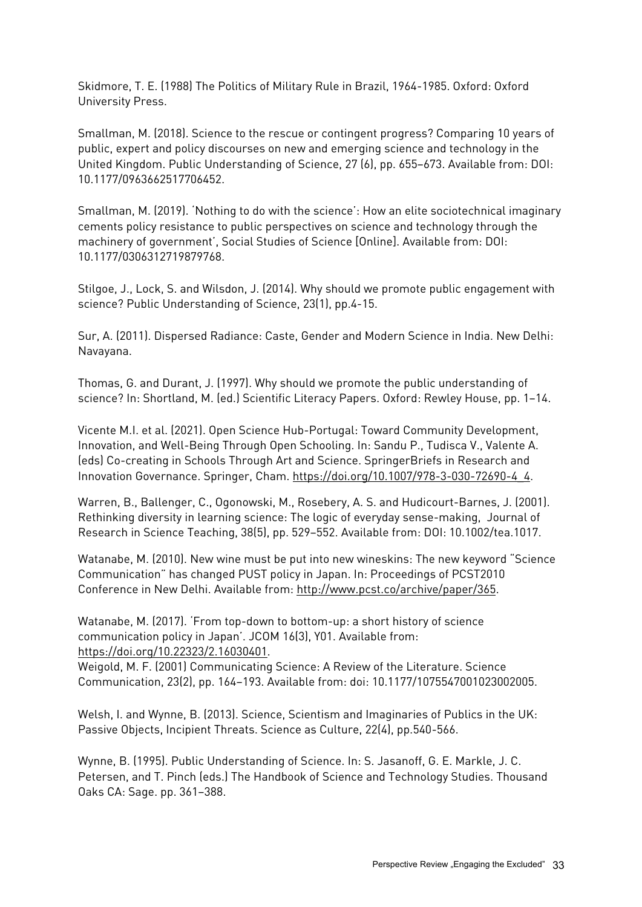Skidmore, T. E. (1988) The Politics of Military Rule in Brazil, 1964-1985. Oxford: Oxford University Press.

Smallman, M. (2018). Science to the rescue or contingent progress? Comparing 10 years of public, expert and policy discourses on new and emerging science and technology in the United Kingdom. Public Understanding of Science, 27 (6), pp. 655–673. Available from: DOI: 10.1177/0963662517706452.

Smallman, M. (2019). 'Nothing to do with the science': How an elite sociotechnical imaginary cements policy resistance to public perspectives on science and technology through the machinery of government', Social Studies of Science [Online]. Available from: DOI: 10.1177/0306312719879768.

Stilgoe, J., Lock, S. and Wilsdon, J. (2014). Why should we promote public engagement with science? Public Understanding of Science, 23(1), pp.4-15.

Sur, A. (2011). Dispersed Radiance: Caste, Gender and Modern Science in India. New Delhi: Navayana.

Thomas, G. and Durant, J. (1997). Why should we promote the public understanding of science? In: Shortland, M. (ed.) Scientific Literacy Papers. Oxford: Rewley House, pp. 1–14.

Vicente M.I. et al. (2021). Open Science Hub-Portugal: Toward Community Development, Innovation, and Well-Being Through Open Schooling. In: Sandu P., Tudisca V., Valente A. (eds) Co-creating in Schools Through Art and Science. SpringerBriefs in Research and Innovation Governance. Springer, Cham. https://doi.org/10.1007/978-3-030-72690-4\_4.

Warren, B., Ballenger, C., Ogonowski, M., Rosebery, A. S. and Hudicourt-Barnes, J. (2001). Rethinking diversity in learning science: The logic of everyday sense-making, Journal of Research in Science Teaching, 38(5), pp. 529–552. Available from: DOI: 10.1002/tea.1017.

Watanabe, M. (2010). New wine must be put into new wineskins: The new keyword "Science Communication" has changed PUST policy in Japan. In: Proceedings of PCST2010 Conference in New Delhi. Available from: http://www.pcst.co/archive/paper/365.

Watanabe, M. (2017). 'From top-down to bottom-up: a short history of science communication policy in Japan'. JCOM 16(3), Y01. Available from: https://doi.org/10.22323/2.16030401.

Weigold, M. F. (2001) Communicating Science: A Review of the Literature. Science Communication, 23(2), pp. 164–193. Available from: doi: 10.1177/1075547001023002005.

Welsh, I. and Wynne, B. (2013). Science, Scientism and Imaginaries of Publics in the UK: Passive Objects, Incipient Threats. Science as Culture, 22(4), pp.540-566.

Wynne, B. (1995). Public Understanding of Science. In: S. Jasanoff, G. E. Markle, J. C. Petersen, and T. Pinch (eds.) The Handbook of Science and Technology Studies. Thousand Oaks CA: Sage. pp. 361–388.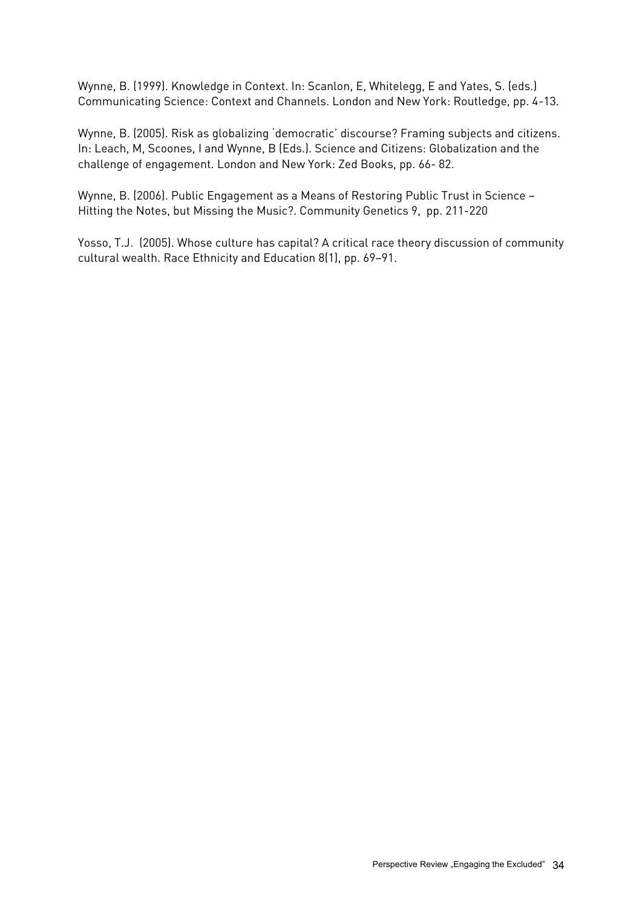Wynne, B. (1999). Knowledge in Context. In: Scanlon, E, Whitelegg, E and Yates, S. (eds.) Communicating Science: Context and Channels. London and New York: Routledge, pp. 4-13.

Wynne, B. (2005). Risk as globalizing 'democratic' discourse? Framing subjects and citizens. In: Leach, M, Scoones, I and Wynne, B (Eds.). Science and Citizens: Globalization and the challenge of engagement. London and New York: Zed Books, pp. 66- 82.

Wynne, B. (2006). Public Engagement as a Means of Restoring Public Trust in Science – Hitting the Notes, but Missing the Music?. Community Genetics 9, pp. 211-220

Yosso, T.J. (2005). Whose culture has capital? A critical race theory discussion of community cultural wealth. Race Ethnicity and Education 8(1), pp. 69–91.